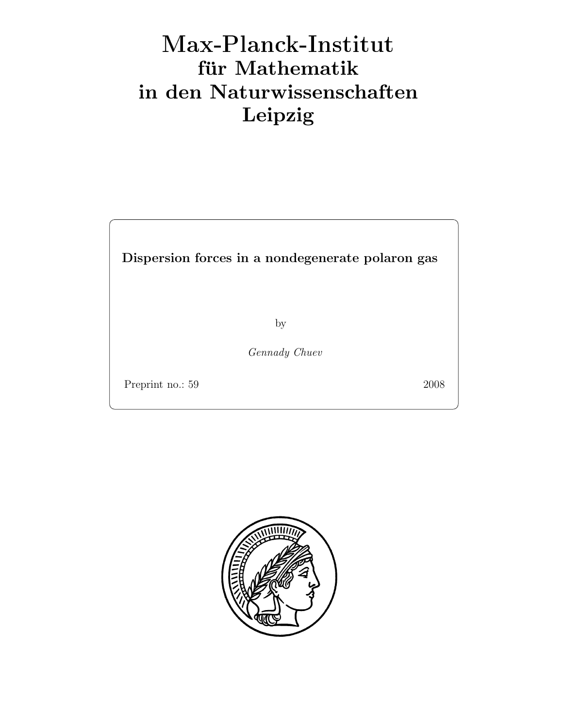# Max-Plan
k-Institut für Mathematik in den Naturwissenschaften Leipzig

Dispersion forces in a nondegenerate polaron gas

by

Gennady Chuev

Preprint no.: 59 2008

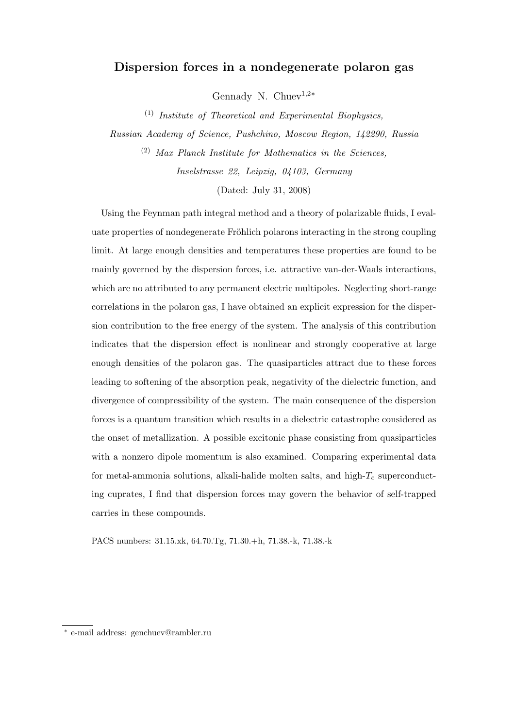# Dispersion forces in a nondegenerate polaron gas

Gennady N. Chuev<sup>1,2\*</sup>

 $(1)$  Institute of Theoretical and Experimental Biophysics,

Russian Academy of Science, Pushchino, Moscow Region, 142290, Russia (2) Max Planck Institute for Mathematics in the Sciences, Inselstrasse 22, Leipzig, 04103, Germany

(Dated: July 31, 2008)

Using the Feynman path integral method and a theory of polarizable fluids, I evaluate properties of nondegenerate Fröhlich polarons interacting in the strong coupling limit. At large enough densities and temperatures these properties are found to be mainly governed by the dispersion forces, i.e. attractive van-der-Waals interactions, which are no attributed to any permanent electric multipoles. Neglecting short-range correlations in the polaron gas, I have obtained an explicit expression for the dispersion contribution to the free energy of the system. The analysis of this contribution indicates that the dispersion effect is nonlinear and strongly cooperative at large enough densities of the polaron gas. The quasiparticles attract due to these forces leading to softening of the absorption peak, negativity of the dielectric function, and divergence of compressibility of the system. The main consequence of the dispersion forces is a quantum transition which results in a dielectric catastrophe considered as the onset of metallization. A possible excitonic phase consisting from quasiparticles with a nonzero dipole momentum is also examined. Comparing experimental data for metal-ammonia solutions, alkali-halide molten salts, and high- $T_c$  superconducting cuprates, I find that dispersion forces may govern the behavior of self-trapped carries in these compounds.

PACS numbers: 31.15.xk, 64.70.Tg, 71.30.+h, 71.38.-k, 71.38.-k

<sup>∗</sup> e-mail address: genchuev@rambler.ru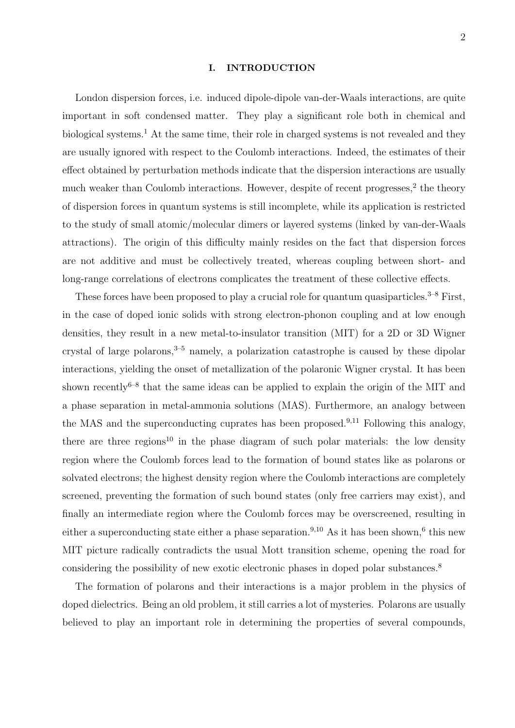#### I. INTRODUCTION

London dispersion forces, i.e. induced dipole-dipole van-der-Waals interactions, are quite important in soft condensed matter. They play a significant role both in chemical and biological systems.<sup>1</sup> At the same time, their role in charged systems is not revealed and they are usually ignored with respect to the Coulomb interactions. Indeed, the estimates of their effect obtained by perturbation methods indicate that the dispersion interactions are usually much weaker than Coulomb interactions. However, despite of recent progresses,<sup>2</sup> the theory of dispersion forces in quantum systems is still incomplete, while its application is restricted to the study of small atomic/molecular dimers or layered systems (linked by van-der-Waals attractions). The origin of this difficulty mainly resides on the fact that dispersion forces are not additive and must be collectively treated, whereas coupling between short- and long-range correlations of electrons complicates the treatment of these collective effects.

These forces have been proposed to play a crucial role for quantum quasiparticles.<sup>3-8</sup> First, in the case of doped ionic solids with strong electron-phonon coupling and at low enough densities, they result in a new metal-to-insulator transition (MIT) for a 2D or 3D Wigner crystal of large polarons,  $3-5$  namely, a polarization catastrophe is caused by these dipolar interactions, yielding the onset of metallization of the polaronic Wigner crystal. It has been shown recently<sup>6–8</sup> that the same ideas can be applied to explain the origin of the MIT and a phase separation in metal-ammonia solutions (MAS). Furthermore, an analogy between the MAS and the superconducting cuprates has been proposed.<sup>9,11</sup> Following this analogy, there are three regions<sup>10</sup> in the phase diagram of such polar materials: the low density region where the Coulomb forces lead to the formation of bound states like as polarons or solvated electrons; the highest density region where the Coulomb interactions are completely screened, preventing the formation of such bound states (only free carriers may exist), and finally an intermediate region where the Coulomb forces may be overscreened, resulting in either a superconducting state either a phase separation.<sup>9,10</sup> As it has been shown,<sup>6</sup> this new MIT picture radically contradicts the usual Mott transition scheme, opening the road for considering the possibility of new exotic electronic phases in doped polar substances.<sup>8</sup>

The formation of polarons and their interactions is a major problem in the physics of doped dielectrics. Being an old problem, it still carries a lot of mysteries. Polarons are usually believed to play an important role in determining the properties of several compounds,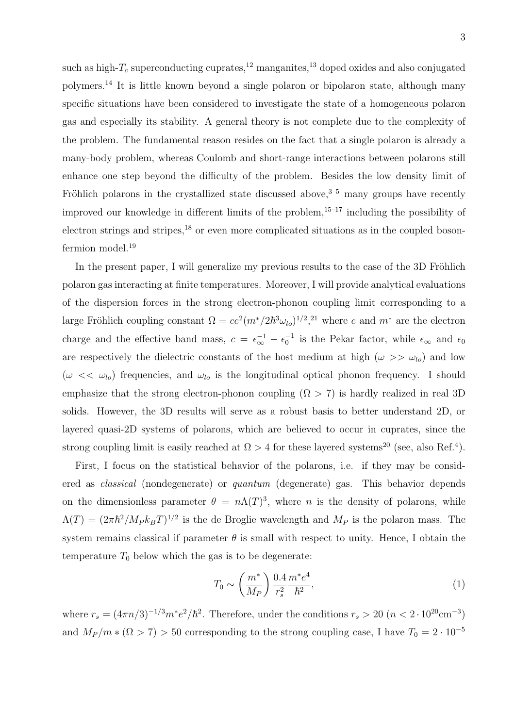such as high- $T_c$  superconducting cuprates,<sup>12</sup> manganites,<sup>13</sup> doped oxides and also conjugated polymers.<sup>14</sup> It is little known beyond a single polaron or bipolaron state, although many specific situations have been considered to investigate the state of a homogeneous polaron gas and especially its stability. A general theory is not complete due to the complexity of the problem. The fundamental reason resides on the fact that a single polaron is already a many-body problem, whereas Coulomb and short-range interactions between polarons still enhance one step beyond the difficulty of the problem. Besides the low density limit of Fröhlich polarons in the crystallized state discussed above,  $3-5$  many groups have recently improved our knowledge in different limits of the problem, $15-17$  including the possibility of electron strings and stripes,<sup>18</sup> or even more complicated situations as in the coupled bosonfermion model.<sup>19</sup>

In the present paper, I will generalize my previous results to the case of the 3D Fröhlich polaron gas interacting at finite temperatures. Moreover, I will provide analytical evaluations of the dispersion forces in the strong electron-phonon coupling limit corresponding to a large Fröhlich coupling constant  $\Omega = ce^2(m^*/2\hbar^3\omega_{lo})^{1/2}$ ,<sup>21</sup> where e and  $m^*$  are the electron charge and the effective band mass,  $c = \epsilon_{\infty}^{-1} - \epsilon_0^{-1}$  is the Pekar factor, while  $\epsilon_{\infty}$  and  $\epsilon_0$ are respectively the dielectric constants of the host medium at high  $(\omega \gg \omega_{lo})$  and low  $(\omega \ll \omega_{lo})$  frequencies, and  $\omega_{lo}$  is the longitudinal optical phonon frequency. I should emphasize that the strong electron-phonon coupling  $(\Omega > 7)$  is hardly realized in real 3D solids. However, the 3D results will serve as a robust basis to better understand 2D, or layered quasi-2D systems of polarons, which are believed to occur in cuprates, since the strong coupling limit is easily reached at  $\Omega > 4$  for these layered systems<sup>20</sup> (see, also Ref.<sup>4</sup>).

First, I focus on the statistical behavior of the polarons, i.e. if they may be considered as classical (nondegenerate) or quantum (degenerate) gas. This behavior depends on the dimensionless parameter  $\theta = n\Lambda(T)^3$ , where n is the density of polarons, while  $\Lambda(T) = (2\pi\hbar^2/M_P k_B T)^{1/2}$  is the de Broglie wavelength and  $M_P$  is the polaron mass. The system remains classical if parameter  $\theta$  is small with respect to unity. Hence, I obtain the temperature  $T_0$  below which the gas is to be degenerate:

$$
T_0 \sim \left(\frac{m^*}{M_P}\right) \frac{0.4}{r_s^2} \frac{m^* e^4}{\hbar^2},\tag{1}
$$

where  $r_s = (4\pi n/3)^{-1/3} m^* e^2/\hbar^2$ . Therefore, under the conditions  $r_s > 20$   $(n < 2 \cdot 10^{20} \text{cm}^{-3})$ and  $M_P/m * (\Omega > 7) > 50$  corresponding to the strong coupling case, I have  $T_0 = 2 \cdot 10^{-5}$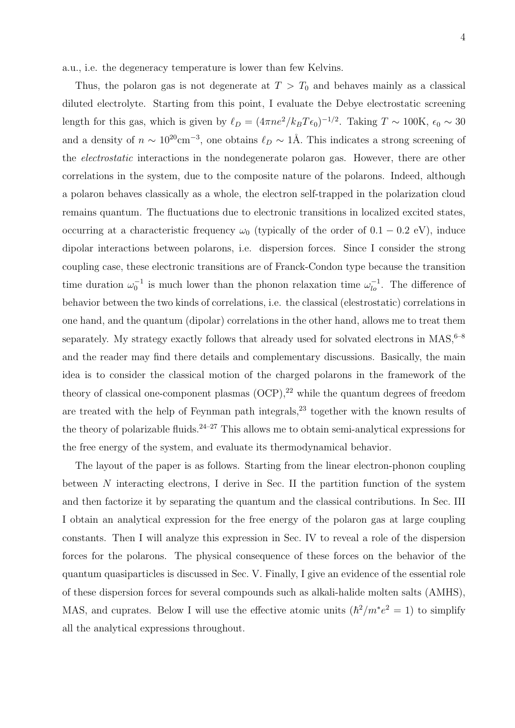a.u., i.e. the degeneracy temperature is lower than few Kelvins.

Thus, the polaron gas is not degenerate at  $T > T_0$  and behaves mainly as a classical diluted electrolyte. Starting from this point, I evaluate the Debye electrostatic screening length for this gas, which is given by  $\ell_D = (4\pi n e^2/k_B T \epsilon_0)^{-1/2}$ . Taking  $T \sim 100$ K,  $\epsilon_0 \sim 30$ and a density of  $n \sim 10^{20} \text{cm}^{-3}$ , one obtains  $\ell_D \sim 1 \text{\AA}$ . This indicates a strong screening of the electrostatic interactions in the nondegenerate polaron gas. However, there are other correlations in the system, due to the composite nature of the polarons. Indeed, although a polaron behaves classically as a whole, the electron self-trapped in the polarization cloud remains quantum. The fluctuations due to electronic transitions in localized excited states, occurring at a characteristic frequency  $\omega_0$  (typically of the order of 0.1 – 0.2 eV), induce dipolar interactions between polarons, i.e. dispersion forces. Since I consider the strong coupling case, these electronic transitions are of Franck-Condon type because the transition time duration  $\omega_0^{-1}$  is much lower than the phonon relaxation time  $\omega_{lo}^{-1}$ . The difference of behavior between the two kinds of correlations, i.e. the classical (elestrostatic) correlations in one hand, and the quantum (dipolar) correlations in the other hand, allows me to treat them separately. My strategy exactly follows that already used for solvated electrons in  $MAS$ ,  $6-8$ and the reader may find there details and complementary discussions. Basically, the main idea is to consider the classical motion of the charged polarons in the framework of the theory of classical one-component plasmas  $(OCP)$ ,<sup>22</sup> while the quantum degrees of freedom are treated with the help of Feynman path integrals,<sup>23</sup> together with the known results of the theory of polarizable fluids.<sup>24–27</sup> This allows me to obtain semi-analytical expressions for the free energy of the system, and evaluate its thermodynamical behavior.

The layout of the paper is as follows. Starting from the linear electron-phonon coupling between N interacting electrons, I derive in Sec. II the partition function of the system and then factorize it by separating the quantum and the classical contributions. In Sec. III I obtain an analytical expression for the free energy of the polaron gas at large coupling constants. Then I will analyze this expression in Sec. IV to reveal a role of the dispersion forces for the polarons. The physical consequence of these forces on the behavior of the quantum quasiparticles is discussed in Sec. V. Finally, I give an evidence of the essential role of these dispersion forces for several compounds such as alkali-halide molten salts (AMHS), MAS, and cuprates. Below I will use the effective atomic units  $(\hbar^2/m^*e^2 = 1)$  to simplify all the analytical expressions throughout.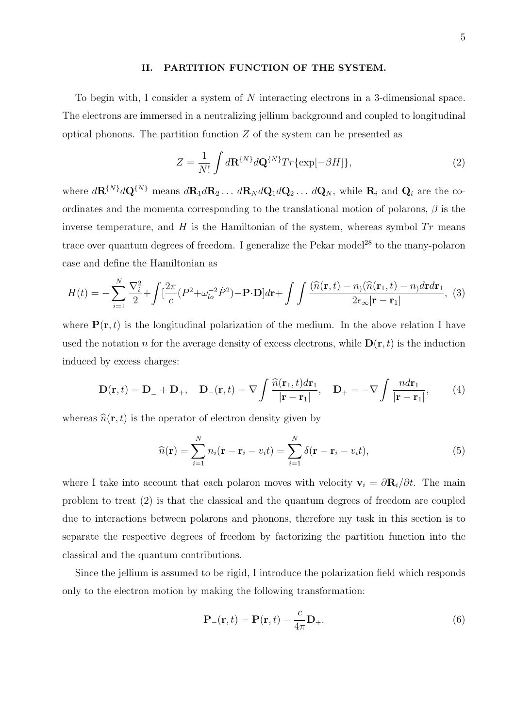#### II. PARTITION FUNCTION OF THE SYSTEM.

To begin with, I consider a system of N interacting electrons in a 3-dimensional space. The electrons are immersed in a neutralizing jellium background and coupled to longitudinal optical phonons. The partition function  $Z$  of the system can be presented as

$$
Z = \frac{1}{N!} \int d\mathbf{R}^{\{N\}} d\mathbf{Q}^{\{N\}} Tr\{\exp[-\beta H]\},\tag{2}
$$

where  $d\mathbf{R}^{\{N\}}d\mathbf{Q}^{\{N\}}$  means  $d\mathbf{R}_1 d\mathbf{R}_2 \ldots d\mathbf{R}_N d\mathbf{Q}_1 d\mathbf{Q}_2 \ldots d\mathbf{Q}_N$ , while  $\mathbf{R}_i$  and  $\mathbf{Q}_i$  are the coordinates and the momenta corresponding to the translational motion of polarons,  $\beta$  is the inverse temperature, and  $H$  is the Hamiltonian of the system, whereas symbol  $Tr$  means trace over quantum degrees of freedom. I generalize the Pekar model<sup>28</sup> to the many-polaron case and define the Hamiltonian as

$$
H(t) = -\sum_{i=1}^{N} \frac{\nabla_i^2}{2} + \int \left[ \frac{2\pi}{c} (P^2 + \omega_{lo}^{-2} \dot{P}^2) - \mathbf{P} \cdot \mathbf{D} \right] d\mathbf{r} + \int \int \frac{(\hat{n}(\mathbf{r}, t) - n)(\hat{n}(\mathbf{r}_1, t) - n) d\mathbf{r} d\mathbf{r}_1}{2\epsilon_{\infty} |\mathbf{r} - \mathbf{r}_1|},
$$
 (3)

where  $P(r, t)$  is the longitudinal polarization of the medium. In the above relation I have used the notation n for the average density of excess electrons, while  $\mathbf{D}(\mathbf{r},t)$  is the induction induced by excess charges:

$$
\mathbf{D}(\mathbf{r},t) = \mathbf{D}_{-} + \mathbf{D}_{+}, \quad \mathbf{D}_{-}(\mathbf{r},t) = \nabla \int \frac{\widehat{n}(\mathbf{r}_{1},t) d\mathbf{r}_{1}}{|\mathbf{r} - \mathbf{r}_{1}|}, \quad \mathbf{D}_{+} = -\nabla \int \frac{n d\mathbf{r}_{1}}{|\mathbf{r} - \mathbf{r}_{1}|}, \quad (4)
$$

whereas  $\hat{n}(\mathbf{r}, t)$  is the operator of electron density given by

$$
\widehat{n}(\mathbf{r}) = \sum_{i=1}^{N} n_i (\mathbf{r} - \mathbf{r}_i - v_i t) = \sum_{i=1}^{N} \delta(\mathbf{r} - \mathbf{r}_i - v_i t),
$$
\n(5)

where I take into account that each polaron moves with velocity  $\mathbf{v}_i = \partial \mathbf{R}_i / \partial t$ . The main problem to treat (2) is that the classical and the quantum degrees of freedom are coupled due to interactions between polarons and phonons, therefore my task in this section is to separate the respective degrees of freedom by factorizing the partition function into the classical and the quantum contributions.

Since the jellium is assumed to be rigid, I introduce the polarization field which responds only to the electron motion by making the following transformation:

$$
\mathbf{P}_{-}(\mathbf{r},t) = \mathbf{P}(\mathbf{r},t) - \frac{c}{4\pi} \mathbf{D}_{+}.
$$
 (6)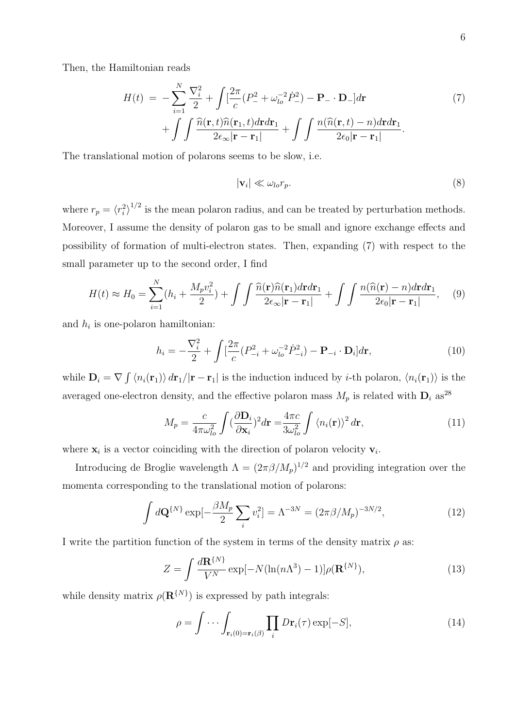Then, the Hamiltonian reads

$$
H(t) = -\sum_{i=1}^{N} \frac{\nabla_i^2}{2} + \int \left[ \frac{2\pi}{c} (P_-^2 + \omega_{lo}^{-2} \dot{P}_-^2) - \mathbf{P}_- \cdot \mathbf{D}_- \right] d\mathbf{r} + \int \int \frac{\hat{n}(\mathbf{r}, t) \hat{n}(\mathbf{r}_1, t) d\mathbf{r} d\mathbf{r}_1}{2\epsilon_{\infty} |\mathbf{r} - \mathbf{r}_1|} + \int \int \frac{n(\hat{n}(\mathbf{r}, t) - n) d\mathbf{r} d\mathbf{r}_1}{2\epsilon_0 |\mathbf{r} - \mathbf{r}_1|}.
$$
 (7)

The translational motion of polarons seems to be slow, i.e.

$$
|\mathbf{v}_i| \ll \omega_{lo} r_p. \tag{8}
$$

where  $r_p = \langle r_i^2 \rangle^{1/2}$  is the mean polaron radius, and can be treated by perturbation methods. Moreover, I assume the density of polaron gas to be small and ignore exchange effects and possibility of formation of multi-electron states. Then, expanding (7) with respect to the small parameter up to the second order, I find

$$
H(t) \approx H_0 = \sum_{i=1}^{N} (h_i + \frac{M_p v_i^2}{2}) + \int \int \frac{\widehat{n}(\mathbf{r}) \widehat{n}(\mathbf{r}_1) d\mathbf{r} d\mathbf{r}_1}{2\epsilon_{\infty} |\mathbf{r} - \mathbf{r}_1|} + \int \int \frac{n(\widehat{n}(\mathbf{r}) - n) d\mathbf{r} d\mathbf{r}_1}{2\epsilon_0 |\mathbf{r} - \mathbf{r}_1|}, \quad (9)
$$

and  $h_i$  is one-polaron hamiltonian:

$$
h_i = -\frac{\nabla_i^2}{2} + \int \left[\frac{2\pi}{c} (P_{-i}^2 + \omega_{lo}^{-2} \dot{P}_{-i}^2) - \mathbf{P}_{-i} \cdot \mathbf{D}_i\right] d\mathbf{r},\tag{10}
$$

while  $\mathbf{D}_i = \nabla \int \langle n_i(\mathbf{r}_1) \rangle d\mathbf{r}_1/|\mathbf{r} - \mathbf{r}_1|$  is the induction induced by *i*-th polaron,  $\langle n_i(\mathbf{r}_1) \rangle$  is the averaged one-electron density, and the effective polaron mass  $M_p$  is related with  $\mathbf{D}_i$  as<sup>28</sup>

$$
M_p = \frac{c}{4\pi\omega_{lo}^2} \int (\frac{\partial \mathbf{D}_i}{\partial \mathbf{x}_i})^2 d\mathbf{r} = \frac{4\pi c}{3\omega_{lo}^2} \int \langle n_i(\mathbf{r}) \rangle^2 d\mathbf{r},\tag{11}
$$

where  $\mathbf{x}_i$  is a vector coinciding with the direction of polaron velocity  $\mathbf{v}_i$ .

Introducing de Broglie wavelength  $\Lambda = (2\pi \beta / M_p)^{1/2}$  and providing integration over the momenta corresponding to the translational motion of polarons:

$$
\int d\mathbf{Q}^{\{N\}} \exp[-\frac{\beta M_p}{2} \sum_i v_i^2] = \Lambda^{-3N} = (2\pi \beta / M_p)^{-3N/2},\tag{12}
$$

I write the partition function of the system in terms of the density matrix  $\rho$  as:

$$
Z = \int \frac{d\mathbf{R}^{\{N\}}}{V^N} \exp[-N(\ln(n\Lambda^3) - 1)] \rho(\mathbf{R}^{\{N\}}), \tag{13}
$$

while density matrix  $\rho(\mathbf{R}^{\{N\}})$  is expressed by path integrals:

$$
\rho = \int \cdots \int_{\mathbf{r}_i(0) = \mathbf{r}_i(\beta)} \prod_i D\mathbf{r}_i(\tau) \exp[-S], \tag{14}
$$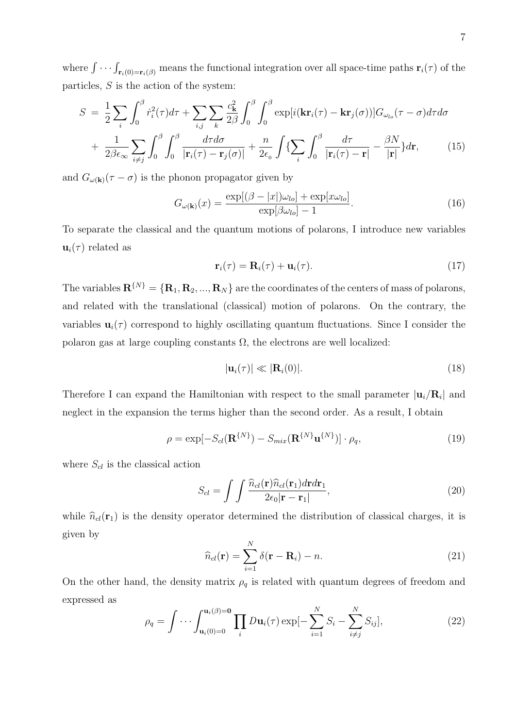where  $\int \cdots \int_{\mathbf{r}_i(0)=\mathbf{r}_i(\beta)}$  means the functional integration over all space-time paths  $\mathbf{r}_i(\tau)$  of the particles,  $S$  is the action of the system:

$$
S = \frac{1}{2} \sum_{i} \int_{0}^{\beta} \dot{r}_{i}^{2}(\tau) d\tau + \sum_{i,j} \sum_{k} \frac{c_{k}^{2}}{2\beta} \int_{0}^{\beta} \int_{0}^{\beta} \exp[i(\mathbf{kr}_{i}(\tau) - \mathbf{kr}_{j}(\sigma))] G_{\omega_{lo}}(\tau - \sigma) d\tau d\sigma
$$

$$
+ \frac{1}{2\beta \epsilon_{\infty}} \sum_{i \neq j} \int_{0}^{\beta} \int_{0}^{\beta} \frac{d\tau d\sigma}{|\mathbf{r}_{i}(\tau) - \mathbf{r}_{j}(\sigma)|} + \frac{n}{2\epsilon_{0}} \int \{ \sum_{i} \int_{0}^{\beta} \frac{d\tau}{|\mathbf{r}_{i}(\tau) - \mathbf{r}|} - \frac{\beta N}{|\mathbf{r}|} \} d\mathbf{r}, \qquad (15)
$$

and  $G_{\omega(\mathbf{k})}(\tau - \sigma)$  is the phonon propagator given by

$$
G_{\omega(\mathbf{k})}(x) = \frac{\exp[(\beta - |x|)\omega_{lo}] + \exp[x\omega_{lo}]}{\exp[\beta\omega_{lo}] - 1}.
$$
\n(16)

To separate the classical and the quantum motions of polarons, I introduce new variables  $\mathbf{u}_i(\tau)$  related as

$$
\mathbf{r}_i(\tau) = \mathbf{R}_i(\tau) + \mathbf{u}_i(\tau). \tag{17}
$$

The variables  $\mathbf{R}^{\{N\}} = {\mathbf{R}_1, \mathbf{R}_2, ..., \mathbf{R}_N}$  are the coordinates of the centers of mass of polarons, and related with the translational (classical) motion of polarons. On the contrary, the variables  $\mathbf{u}_i(\tau)$  correspond to highly oscillating quantum fluctuations. Since I consider the polaron gas at large coupling constants  $\Omega$ , the electrons are well localized:

$$
|\mathbf{u}_i(\tau)| \ll |\mathbf{R}_i(0)|. \tag{18}
$$

Therefore I can expand the Hamiltonian with respect to the small parameter  $|\mathbf{u}_i/\mathbf{R}_i|$  and neglect in the expansion the terms higher than the second order. As a result, I obtain

$$
\rho = \exp[-S_{cl}(\mathbf{R}^{\{N\}}) - S_{mix}(\mathbf{R}^{\{N\}}\mathbf{u}^{\{N\}})] \cdot \rho_q,
$$
\n(19)

where  $S_{cl}$  is the classical action

$$
S_{cl} = \int \int \frac{\widehat{n}_{cl}(\mathbf{r}) \widehat{n}_{cl}(\mathbf{r}_1) d\mathbf{r} d\mathbf{r}_1}{2\epsilon_0 |\mathbf{r} - \mathbf{r}_1|},\tag{20}
$$

while  $\hat{n}_{cl}(\mathbf{r}_1)$  is the density operator determined the distribution of classical charges, it is given by

$$
\widehat{n}_{cl}(\mathbf{r}) = \sum_{i=1}^{N} \delta(\mathbf{r} - \mathbf{R}_i) - n.
$$
\n(21)

On the other hand, the density matrix  $\rho_q$  is related with quantum degrees of freedom and expressed as

$$
\rho_q = \int \cdots \int_{\mathbf{u}_i(0)=0}^{\mathbf{u}_i(\beta)=0} \prod_i D\mathbf{u}_i(\tau) \exp[-\sum_{i=1}^N S_i - \sum_{i \neq j}^N S_{ij}], \tag{22}
$$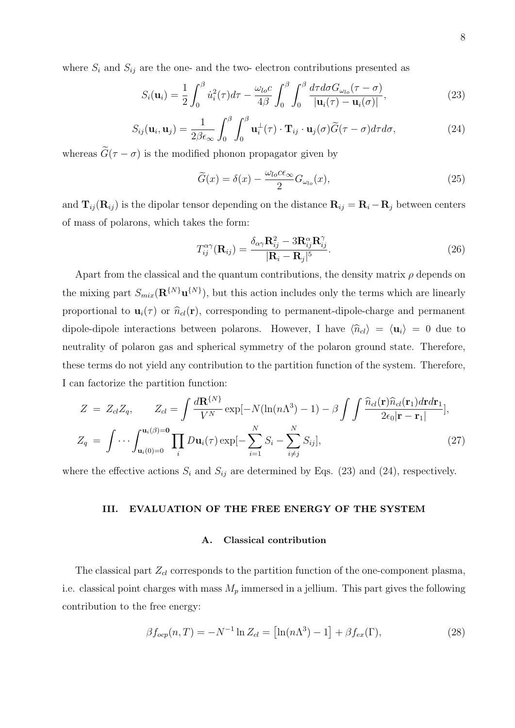where  $S_i$  and  $S_{ij}$  are the one- and the two- electron contributions presented as

$$
S_i(\mathbf{u}_i) = \frac{1}{2} \int_0^\beta \dot{u}_i^2(\tau) d\tau - \frac{\omega_{lo} c}{4\beta} \int_0^\beta \int_0^\beta \frac{d\tau d\sigma G_{\omega_{lo}}(\tau - \sigma)}{|\mathbf{u}_i(\tau) - \mathbf{u}_i(\sigma)|},\tag{23}
$$

$$
S_{ij}(\mathbf{u}_i, \mathbf{u}_j) = \frac{1}{2\beta\epsilon_{\infty}} \int_0^{\beta} \int_0^{\beta} \mathbf{u}_i^{\perp}(\tau) \cdot \mathbf{T}_{ij} \cdot \mathbf{u}_j(\sigma) \widetilde{G}(\tau - \sigma) d\tau d\sigma, \qquad (24)
$$

whereas  $\tilde{G}(\tau - \sigma)$  is the modified phonon propagator given by

$$
\widetilde{G}(x) = \delta(x) - \frac{\omega_{lo} c \epsilon_{\infty}}{2} G_{\omega_{lo}}(x), \qquad (25)
$$

and  $\mathbf{T}_{ij}(\mathbf{R}_{ij})$  is the dipolar tensor depending on the distance  $\mathbf{R}_{ij} = \mathbf{R}_i - \mathbf{R}_j$  between centers of mass of polarons, which takes the form:

$$
T_{ij}^{\alpha\gamma}(\mathbf{R}_{ij}) = \frac{\delta_{\alpha\gamma}\mathbf{R}_{ij}^2 - 3\mathbf{R}_{ij}^{\alpha}\mathbf{R}_{ij}^{\gamma}}{|\mathbf{R}_i - \mathbf{R}_j|^5}.
$$
 (26)

Apart from the classical and the quantum contributions, the density matrix  $\rho$  depends on the mixing part  $S_{mix}(\mathbf{R}^{\{N\}}\mathbf{u}^{\{N\}})$ , but this action includes only the terms which are linearly proportional to  $\mathbf{u}_i(\tau)$  or  $\hat{n}_{cl}(\mathbf{r})$ , corresponding to permanent-dipole-charge and permanent dipole-dipole interactions between polarons. However, I have  $\langle \hat{n}_{cl} \rangle = \langle \mathbf{u}_i \rangle = 0$  due to neutrality of polaron gas and spherical symmetry of the polaron ground state. Therefore, these terms do not yield any contribution to the partition function of the system. Therefore, I can factorize the partition function:

$$
Z = Z_{cl}Z_q, \qquad Z_{cl} = \int \frac{d\mathbf{R}^{\{N\}}}{V^N} \exp[-N(\ln(n\Lambda^3) - 1) - \beta \int \int \frac{\hat{n}_{cl}(\mathbf{r})\hat{n}_{cl}(\mathbf{r}_1)d\mathbf{r} d\mathbf{r}_1}{2\epsilon_0 |\mathbf{r} - \mathbf{r}_1|}],
$$
  

$$
Z_q = \int \cdots \int_{\mathbf{u}_i(0)=0}^{\mathbf{u}_i(\beta)=0} \prod_i D\mathbf{u}_i(\tau) \exp[-\sum_{i=1}^N S_i - \sum_{i \neq j}^N S_{ij}], \qquad (27)
$$

where the effective actions  $S_i$  and  $S_{ij}$  are determined by Eqs. (23) and (24), respectively.

#### III. EVALUATION OF THE FREE ENERGY OF THE SYSTEM

#### A. Classical contribution

The classical part  $Z_{cl}$  corresponds to the partition function of the one-component plasma, i.e. classical point charges with mass  $M_p$  immersed in a jellium. This part gives the following contribution to the free energy:

$$
\beta f_{ocp}(n,T) = -N^{-1} \ln Z_{cl} = \left[ \ln(n\Lambda^3) - 1 \right] + \beta f_{ex}(\Gamma),\tag{28}
$$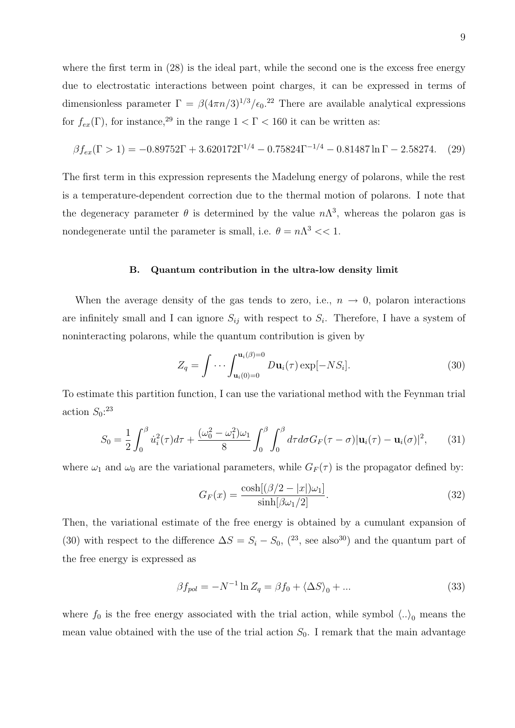where the first term in (28) is the ideal part, while the second one is the excess free energy due to electrostatic interactions between point charges, it can be expressed in terms of dimensionless parameter  $\Gamma = \beta (4\pi n/3)^{1/3}/\epsilon_0$ .<sup>22</sup> There are available analytical expressions for  $f_{ex}(\Gamma)$ , for instance,<sup>29</sup> in the range  $1 < \Gamma < 160$  it can be written as:

$$
\beta f_{ex}(\Gamma > 1) = -0.89752\Gamma + 3.620172\Gamma^{1/4} - 0.75824\Gamma^{-1/4} - 0.81487\ln\Gamma - 2.58274. \tag{29}
$$

The first term in this expression represents the Madelung energy of polarons, while the rest is a temperature-dependent correction due to the thermal motion of polarons. I note that the degeneracy parameter  $\theta$  is determined by the value  $n\Lambda^3$ , whereas the polaron gas is nondegenerate until the parameter is small, i.e.  $\theta = n\Lambda^3 << 1$ .

#### B. Quantum contribution in the ultra-low density limit

When the average density of the gas tends to zero, i.e.,  $n \rightarrow 0$ , polaron interactions are infinitely small and I can ignore  $S_{ij}$  with respect to  $S_i$ . Therefore, I have a system of noninteracting polarons, while the quantum contribution is given by

$$
Z_q = \int \cdots \int_{\mathbf{u}_i(0)=0}^{\mathbf{u}_i(\beta)=0} D\mathbf{u}_i(\tau) \exp[-NS_i].
$$
 (30)

To estimate this partition function, I can use the variational method with the Feynman trial action  $S_0$ <sup>23</sup>

$$
S_0 = \frac{1}{2} \int_0^\beta \dot{u}_i^2(\tau) d\tau + \frac{(\omega_0^2 - \omega_1^2)\omega_1}{8} \int_0^\beta \int_0^\beta d\tau d\sigma G_F(\tau - \sigma) |\mathbf{u}_i(\tau) - \mathbf{u}_i(\sigma)|^2, \qquad (31)
$$

where  $\omega_1$  and  $\omega_0$  are the variational parameters, while  $G_F(\tau)$  is the propagator defined by:

$$
G_F(x) = \frac{\cosh[(\beta/2 - |x|)\omega_1]}{\sinh[\beta\omega_1/2]}.
$$
\n(32)

Then, the variational estimate of the free energy is obtained by a cumulant expansion of (30) with respect to the difference  $\Delta S = S_i - S_0$ , (<sup>23</sup>, see also<sup>30</sup>) and the quantum part of the free energy is expressed as

$$
\beta f_{pol} = -N^{-1} \ln Z_q = \beta f_0 + \langle \Delta S \rangle_0 + \dots \tag{33}
$$

where  $f_0$  is the free energy associated with the trial action, while symbol  $\langle .. \rangle_0$  means the mean value obtained with the use of the trial action  $S_0$ . I remark that the main advantage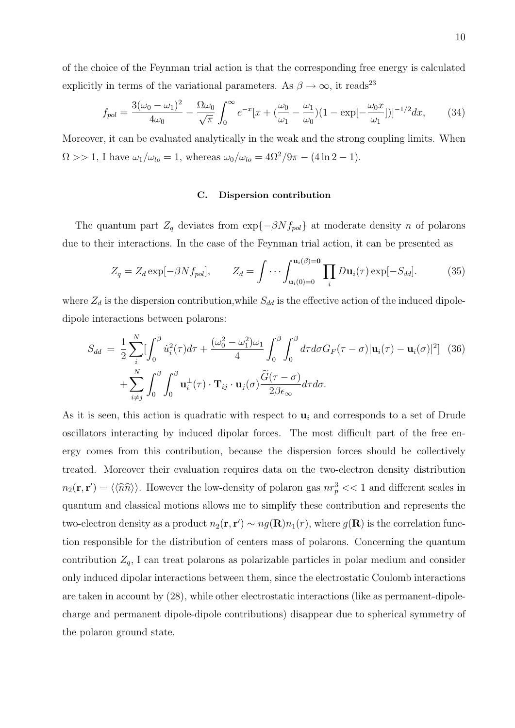of the choice of the Feynman trial action is that the corresponding free energy is calculated explicitly in terms of the variational parameters. As  $\beta\rightarrow\infty,$  it reads<sup>23</sup>

$$
f_{pol} = \frac{3(\omega_0 - \omega_1)^2}{4\omega_0} - \frac{\Omega \omega_0}{\sqrt{\pi}} \int_0^\infty e^{-x} [x + (\frac{\omega_0}{\omega_1} - \frac{\omega_1}{\omega_0})(1 - \exp[-\frac{\omega_0 x}{\omega_1}])]^{-1/2} dx, \tag{34}
$$

Moreover, it can be evaluated analytically in the weak and the strong coupling limits. When  $\Omega >> 1$ , I have  $\omega_1/\omega_{lo} = 1$ , whereas  $\omega_0/\omega_{lo} = 4\Omega^2/9\pi - (4 \ln 2 - 1)$ .

# C. Dispersion contribution

The quantum part  $Z_q$  deviates from  $\exp{-\beta N f_{pol}}$  at moderate density n of polarons due to their interactions. In the case of the Feynman trial action, it can be presented as

$$
Z_q = Z_d \exp[-\beta N f_{pol}], \qquad Z_d = \int \cdots \int_{\mathbf{u}_i(0)=0}^{\mathbf{u}_i(\beta)=0} \prod_i D\mathbf{u}_i(\tau) \exp[-S_{dd}]. \tag{35}
$$

where  $Z_d$  is the dispersion contribution, while  $S_{dd}$  is the effective action of the induced dipoledipole interactions between polarons:

$$
S_{dd} = \frac{1}{2} \sum_{i}^{N} \left[ \int_{0}^{\beta} \dot{u}_{i}^{2}(\tau) d\tau + \frac{(\omega_{0}^{2} - \omega_{1}^{2})\omega_{1}}{4} \int_{0}^{\beta} \int_{0}^{\beta} d\tau d\sigma G_{F}(\tau - \sigma) |\mathbf{u}_{i}(\tau) - \mathbf{u}_{i}(\sigma)|^{2} \right] (36)
$$

$$
+ \sum_{i \neq j}^{N} \int_{0}^{\beta} \int_{0}^{\beta} \mathbf{u}_{i}^{\perp}(\tau) \cdot \mathbf{T}_{ij} \cdot \mathbf{u}_{j}(\sigma) \frac{\widetilde{G}(\tau - \sigma)}{2\beta \epsilon_{\infty}} d\tau d\sigma.
$$

As it is seen, this action is quadratic with respect to  $\mathbf{u}_i$  and corresponds to a set of Drude oscillators interacting by induced dipolar forces. The most difficult part of the free energy comes from this contribution, because the dispersion forces should be collectively treated. Moreover their evaluation requires data on the two-electron density distribution  $n_2(\mathbf{r}, \mathbf{r}') = \langle \langle \hat{n}\hat{n} \rangle \rangle$ . However the low-density of polaron gas  $nr_p^3 \ll 1$  and different scales in quantum and classical motions allows me to simplify these contribution and represents the two-electron density as a product  $n_2(\mathbf{r}, \mathbf{r}') \sim ng(\mathbf{R})n_1(r)$ , where  $g(\mathbf{R})$  is the correlation function responsible for the distribution of centers mass of polarons. Concerning the quantum contribution  $Z_q$ , I can treat polarons as polarizable particles in polar medium and consider only induced dipolar interactions between them, since the electrostatic Coulomb interactions are taken in account by (28), while other electrostatic interactions (like as permanent-dipolecharge and permanent dipole-dipole contributions) disappear due to spherical symmetry of the polaron ground state.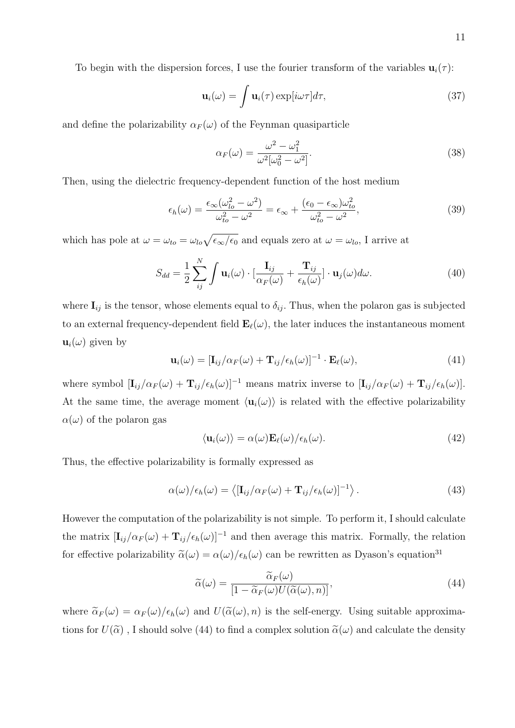To begin with the dispersion forces, I use the fourier transform of the variables  $\mathbf{u}_i(\tau)$ :

$$
\mathbf{u}_{i}(\omega) = \int \mathbf{u}_{i}(\tau) \exp[i\omega\tau] d\tau, \qquad (37)
$$

and define the polarizability  $\alpha_F(\omega)$  of the Feynman quasiparticle

$$
\alpha_F(\omega) = \frac{\omega^2 - \omega_1^2}{\omega^2[\omega_0^2 - \omega^2]}.
$$
\n(38)

Then, using the dielectric frequency-dependent function of the host medium

$$
\epsilon_h(\omega) = \frac{\epsilon_\infty (\omega_{lo}^2 - \omega^2)}{\omega_{to}^2 - \omega^2} = \epsilon_\infty + \frac{(\epsilon_0 - \epsilon_\infty) \omega_{to}^2}{\omega_{to}^2 - \omega^2},\tag{39}
$$

which has pole at  $\omega = \omega_{to} = \omega_{lo} \sqrt{\epsilon_{\infty}/\epsilon_0}$  and equals zero at  $\omega = \omega_{lo}$ , I arrive at

$$
S_{dd} = \frac{1}{2} \sum_{ij}^{N} \int \mathbf{u}_i(\omega) \cdot \left[ \frac{\mathbf{I}_{ij}}{\alpha_F(\omega)} + \frac{\mathbf{T}_{ij}}{\epsilon_h(\omega)} \right] \cdot \mathbf{u}_j(\omega) d\omega.
$$
 (40)

where  $\mathbf{I}_{ij}$  is the tensor, whose elements equal to  $\delta_{ij}$ . Thus, when the polaron gas is subjected to an external frequency-dependent field  $\mathbf{E}_{\ell}(\omega)$ , the later induces the instantaneous moment  $\mathbf{u}_i(\omega)$  given by

$$
\mathbf{u}_{i}(\omega) = [\mathbf{I}_{ij}/\alpha_F(\omega) + \mathbf{T}_{ij}/\epsilon_h(\omega)]^{-1} \cdot \mathbf{E}_{\ell}(\omega), \qquad (41)
$$

where symbol  $[\mathbf{I}_{ij}/\alpha_F(\omega) + \mathbf{T}_{ij}/\epsilon_h(\omega)]^{-1}$  means matrix inverse to  $[\mathbf{I}_{ij}/\alpha_F(\omega) + \mathbf{T}_{ij}/\epsilon_h(\omega)]$ . At the same time, the average moment  $\langle \mathbf{u}_i(\omega) \rangle$  is related with the effective polarizability  $\alpha(\omega)$  of the polaron gas

$$
\langle \mathbf{u}_i(\omega) \rangle = \alpha(\omega) \mathbf{E}_\ell(\omega) / \epsilon_h(\omega). \tag{42}
$$

Thus, the effective polarizability is formally expressed as

$$
\alpha(\omega)/\epsilon_h(\omega) = \langle [\mathbf{I}_{ij}/\alpha_F(\omega) + \mathbf{T}_{ij}/\epsilon_h(\omega)]^{-1} \rangle. \tag{43}
$$

However the computation of the polarizability is not simple. To perform it, I should calculate the matrix  $[\mathbf{I}_{ij}/\alpha_F(\omega) + \mathbf{T}_{ij}/\epsilon_h(\omega)]^{-1}$  and then average this matrix. Formally, the relation for effective polarizability  $\tilde{\alpha}(\omega) = \alpha(\omega)/\epsilon_h(\omega)$  can be rewritten as Dyason's equation<sup>31</sup>

$$
\widetilde{\alpha}(\omega) = \frac{\widetilde{\alpha}_F(\omega)}{\left[1 - \widetilde{\alpha}_F(\omega)U(\widetilde{\alpha}(\omega), n)\right]},\tag{44}
$$

where  $\tilde{\alpha}_F(\omega) = \alpha_F(\omega)/\epsilon_h(\omega)$  and  $U(\tilde{\alpha}(\omega), n)$  is the self-energy. Using suitable approximations for  $U(\tilde{\alpha})$ , I should solve (44) to find a complex solution  $\tilde{\alpha}(\omega)$  and calculate the density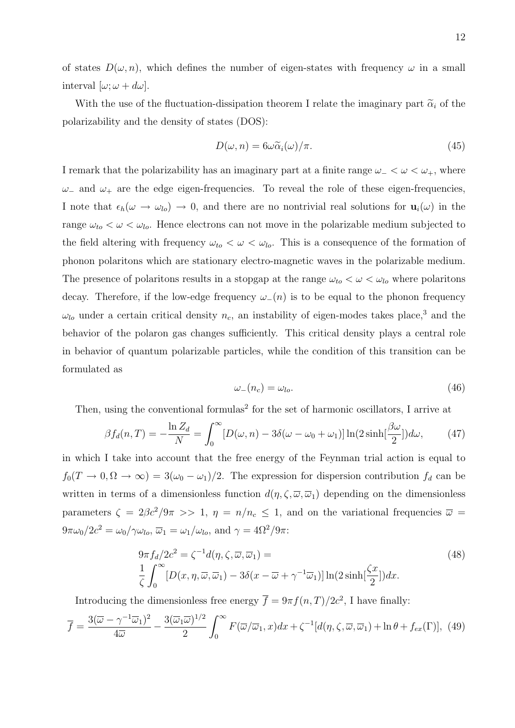of states  $D(\omega, n)$ , which defines the number of eigen-states with frequency  $\omega$  in a small interval  $[\omega; \omega + d\omega]$ .

With the use of the fluctuation-dissipation theorem I relate the imaginary part  $\tilde{\alpha}_i$  of the polarizability and the density of states (DOS):

$$
D(\omega, n) = 6\omega \widetilde{\alpha}_i(\omega)/\pi.
$$
\n(45)

I remark that the polarizability has an imaginary part at a finite range  $\omega$  –  $\lt \omega$   $\lt \omega$ <sub>+</sub>, where  $ω_$  and  $ω_+$  are the edge eigen-frequencies. To reveal the role of these eigen-frequencies, I note that  $\epsilon_h(\omega \to \omega_{lo}) \to 0$ , and there are no nontrivial real solutions for  $\mathbf{u}_i(\omega)$  in the range  $\omega_{to} < \omega < \omega_{lo}$ . Hence electrons can not move in the polarizable medium subjected to the field altering with frequency  $\omega_{to} < \omega < \omega_{lo}$ . This is a consequence of the formation of phonon polaritons which are stationary electro-magnetic waves in the polarizable medium. The presence of polaritons results in a stopgap at the range  $\omega_{to} < \omega < \omega_{lo}$  where polaritons decay. Therefore, if the low-edge frequency  $\omega_-(n)$  is to be equal to the phonon frequency  $\omega_{lo}$  under a certain critical density  $n_c$ , an instability of eigen-modes takes place,<sup>3</sup> and the behavior of the polaron gas changes sufficiently. This critical density plays a central role in behavior of quantum polarizable particles, while the condition of this transition can be formulated as

$$
\omega_{-}(n_c) = \omega_{lo}.\tag{46}
$$

Then, using the conventional formulas<sup>2</sup> for the set of harmonic oscillators, I arrive at

$$
\beta f_d(n,T) = -\frac{\ln Z_d}{N} = \int_0^\infty [D(\omega, n) - 3\delta(\omega - \omega_0 + \omega_1)] \ln(2\sinh(\frac{\beta\omega}{2}))d\omega, \tag{47}
$$

in which I take into account that the free energy of the Feynman trial action is equal to  $f_0(T \to 0, \Omega \to \infty) = 3(\omega_0 - \omega_1)/2$ . The expression for dispersion contribution  $f_d$  can be written in terms of a dimensionless function  $d(\eta, \zeta, \overline{\omega}, \overline{\omega}_1)$  depending on the dimensionless parameters  $\zeta = 2\beta c^2/9\pi >> 1$ ,  $\eta = n/n_c \le 1$ , and on the variational frequencies  $\bar{\omega}$  =  $9\pi\omega_0/2c^2 = \omega_0/\gamma\omega_{lo}, \overline{\omega}_1 = \omega_1/\omega_{lo}, \text{ and } \gamma = 4\Omega^2/9\pi.$ 

$$
9\pi f_d/2c^2 = \zeta^{-1}d(\eta, \zeta, \overline{\omega}, \overline{\omega}_1) =
$$
  
\n
$$
\frac{1}{\zeta} \int_0^\infty [D(x, \eta, \overline{\omega}, \overline{\omega}_1) - 3\delta(x - \overline{\omega} + \gamma^{-1}\overline{\omega}_1)] \ln(2\sinh[\frac{\zeta x}{2}]) dx.
$$
\n(48)

Introducing the dimensionless free energy  $\overline{f} = 9\pi f(n,T)/2c^2$ , I have finally:

$$
\overline{f} = \frac{3(\overline{\omega} - \gamma^{-1}\overline{\omega}_1)^2}{4\overline{\omega}} - \frac{3(\overline{\omega}_1\overline{\omega})^{1/2}}{2} \int_0^\infty F(\overline{\omega}/\overline{\omega}_1, x) dx + \zeta^{-1}[d(\eta, \zeta, \overline{\omega}, \overline{\omega}_1) + \ln \theta + f_{ex}(\Gamma)], \tag{49}
$$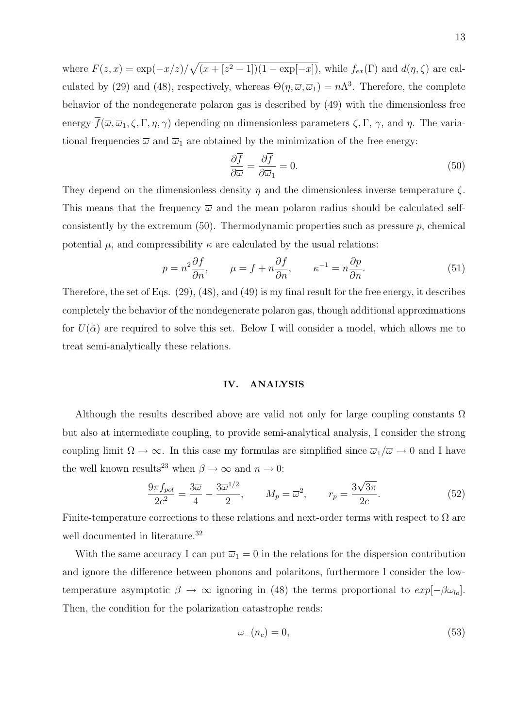where  $F(z, x) = \exp(-x/z) / \sqrt{(x + [z^2 - 1])(1 - \exp[-x])}$ , while  $f_{ex}(\Gamma)$  and  $d(\eta, \zeta)$  are calculated by (29) and (48), respectively, whereas  $\Theta(\eta,\overline{\omega},\overline{\omega}_1)=n\Lambda^3$ . Therefore, the complete behavior of the nondegenerate polaron gas is described by (49) with the dimensionless free energy  $\overline{f}(\overline{\omega}, \overline{\omega}_1, \zeta, \Gamma, \eta, \gamma)$  depending on dimensionless parameters  $\zeta, \Gamma, \gamma$ , and  $\eta$ . The variational frequencies  $\overline{\omega}$  and  $\overline{\omega}_1$  are obtained by the minimization of the free energy:

$$
\frac{\partial \overline{f}}{\partial \overline{\omega}} = \frac{\partial \overline{f}}{\partial \overline{\omega}_1} = 0.
$$
\n(50)

They depend on the dimensionless density  $\eta$  and the dimensionless inverse temperature  $\zeta$ . This means that the frequency  $\bar{\omega}$  and the mean polaron radius should be calculated selfconsistently by the extremum  $(50)$ . Thermodynamic properties such as pressure p, chemical potential  $\mu$ , and compressibility  $\kappa$  are calculated by the usual relations:

$$
p = n^2 \frac{\partial f}{\partial n}, \qquad \mu = f + n \frac{\partial f}{\partial n}, \qquad \kappa^{-1} = n \frac{\partial p}{\partial n}.
$$
 (51)

Therefore, the set of Eqs. (29), (48), and (49) is my final result for the free energy, it describes completely the behavior of the nondegenerate polaron gas, though additional approximations for  $U(\tilde{\alpha})$  are required to solve this set. Below I will consider a model, which allows me to treat semi-analytically these relations.

### IV. ANALYSIS

Although the results described above are valid not only for large coupling constants  $\Omega$ but also at intermediate coupling, to provide semi-analytical analysis, I consider the strong coupling limit  $\Omega \to \infty$ . In this case my formulas are simplified since  $\overline{\omega}_1/\overline{\omega} \to 0$  and I have the well known results<sup>23</sup> when  $\beta \to \infty$  and  $n \to 0$ :

$$
\frac{9\pi f_{pol}}{2c^2} = \frac{3\overline{\omega}}{4} - \frac{3\overline{\omega}^{1/2}}{2}, \qquad M_p = \overline{\omega}^2, \qquad r_p = \frac{3\sqrt{3\pi}}{2c}.
$$
 (52)

Finite-temperature corrections to these relations and next-order terms with respect to  $\Omega$  are well documented in literature.<sup>32</sup>

With the same accuracy I can put  $\overline{\omega}_1 = 0$  in the relations for the dispersion contribution and ignore the difference between phonons and polaritons, furthermore I consider the lowtemperature asymptotic  $\beta \to \infty$  ignoring in (48) the terms proportional to  $exp[-\beta\omega_{lo}]$ . Then, the condition for the polarization catastrophe reads:

$$
\omega_{-}(n_c) = 0,\tag{53}
$$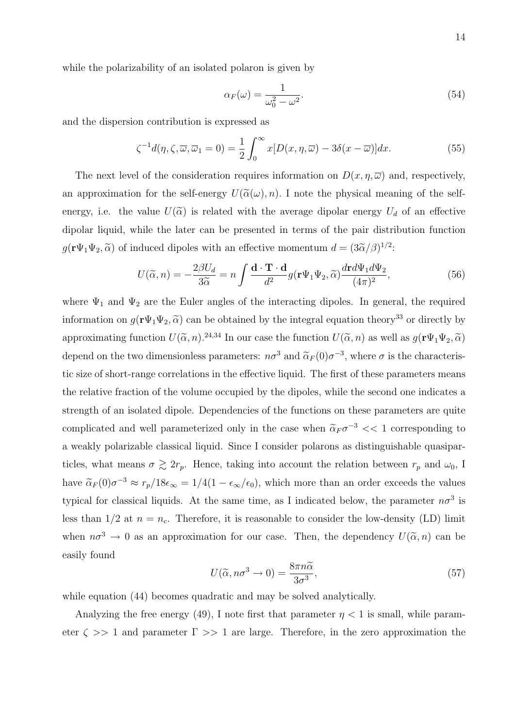while the polarizability of an isolated polaron is given by

$$
\alpha_F(\omega) = \frac{1}{\omega_0^2 - \omega^2}.\tag{54}
$$

and the dispersion contribution is expressed as

$$
\zeta^{-1}d(\eta,\zeta,\overline{\omega},\overline{\omega}_1=0) = \frac{1}{2} \int_0^\infty x[D(x,\eta,\overline{\omega}) - 3\delta(x-\overline{\omega})]dx. \tag{55}
$$

The next level of the consideration requires information on  $D(x, \eta, \overline{\omega})$  and, respectively, an approximation for the self-energy  $U(\tilde{\alpha}(\omega), n)$ . I note the physical meaning of the selfenergy, i.e. the value  $U(\tilde{\alpha})$  is related with the average dipolar energy  $U_d$  of an effective dipolar liquid, while the later can be presented in terms of the pair distribution function  $g(\mathbf{r}\Psi_1\Psi_2, \widetilde{\alpha})$  of induced dipoles with an effective momentum  $d = (3\widetilde{\alpha}/\beta)^{1/2}$ :

$$
U(\tilde{\alpha}, n) = -\frac{2\beta U_d}{3\tilde{\alpha}} = n \int \frac{\mathbf{d} \cdot \mathbf{T} \cdot \mathbf{d}}{d^2} g(\mathbf{r} \Psi_1 \Psi_2, \tilde{\alpha}) \frac{d\mathbf{r} d\Psi_1 d\Psi_2}{(4\pi)^2},
$$
(56)

where  $\Psi_1$  and  $\Psi_2$  are the Euler angles of the interacting dipoles. In general, the required information on  $g(\mathbf{r}\Psi_1\Psi_2, \tilde{\alpha})$  can be obtained by the integral equation theory<sup>33</sup> or directly by approximating function  $U(\tilde{\alpha}, n)$ .<sup>24,34</sup> In our case the function  $U(\tilde{\alpha}, n)$  as well as  $g(\mathbf{r}\Psi_1\Psi_2, \tilde{\alpha})$ depend on the two dimensionless parameters:  $n\sigma^3$  and  $\tilde{\alpha}_F(0)\sigma^{-3}$ , where  $\sigma$  is the characteristic size of short-range correlations in the effective liquid. The first of these parameters means the relative fraction of the volume occupied by the dipoles, while the second one indicates a strength of an isolated dipole. Dependencies of the functions on these parameters are quite complicated and well parameterized only in the case when  $\tilde{\alpha}_F \sigma^{-3} << 1$  corresponding to a weakly polarizable classical liquid. Since I consider polarons as distinguishable quasiparticles, what means  $\sigma \gtrsim 2r_p$ . Hence, taking into account the relation between  $r_p$  and  $\omega_0$ , I have  $\tilde{\alpha}_F(0)\sigma^{-3} \approx r_p/18\epsilon_\infty = 1/4(1-\epsilon_\infty/\epsilon_0)$ , which more than an order exceeds the values typical for classical liquids. At the same time, as I indicated below, the parameter  $n\sigma^3$  is less than  $1/2$  at  $n = n_c$ . Therefore, it is reasonable to consider the low-density (LD) limit when  $n\sigma^3 \to 0$  as an approximation for our case. Then, the dependency  $U(\tilde{\alpha}, n)$  can be easily found

$$
U(\tilde{\alpha}, n\sigma^3 \to 0) = \frac{8\pi n\tilde{\alpha}}{3\sigma^3},\tag{57}
$$

while equation  $(44)$  becomes quadratic and may be solved analytically.

Analyzing the free energy (49), I note first that parameter  $\eta < 1$  is small, while parameter  $\zeta >> 1$  and parameter  $\Gamma >> 1$  are large. Therefore, in the zero approximation the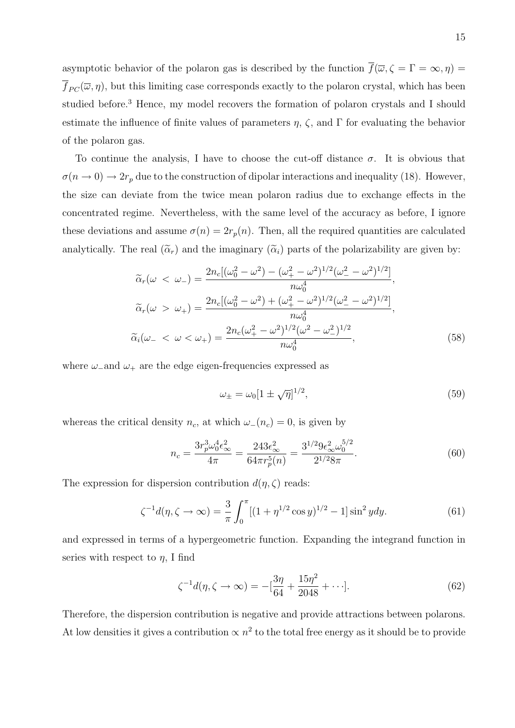asymptotic behavior of the polaron gas is described by the function  $\overline{f}(\overline{\omega}, \zeta = \Gamma = \infty, \eta) =$  $\overline{f}_{PC}(\overline{\omega}, \eta)$ , but this limiting case corresponds exactly to the polaron crystal, which has been studied before.<sup>3</sup> Hence, my model recovers the formation of polaron crystals and I should estimate the influence of finite values of parameters  $\eta$ ,  $\zeta$ , and  $\Gamma$  for evaluating the behavior of the polaron gas.

To continue the analysis, I have to choose the cut-off distance  $\sigma$ . It is obvious that  $\sigma(n \to 0) \to 2r_p$  due to the construction of dipolar interactions and inequality (18). However, the size can deviate from the twice mean polaron radius due to exchange effects in the concentrated regime. Nevertheless, with the same level of the accuracy as before, I ignore these deviations and assume  $\sigma(n) = 2r_p(n)$ . Then, all the required quantities are calculated analytically. The real  $(\tilde{\alpha}_r)$  and the imaginary  $(\tilde{\alpha}_i)$  parts of the polarizability are given by:

$$
\tilde{\alpha}_r(\omega < \omega_-) = \frac{2n_c[(\omega_0^2 - \omega^2) - (\omega_+^2 - \omega^2)^{1/2}(\omega_-^2 - \omega^2)^{1/2}]}{n\omega_0^4},
$$
\n
$$
\tilde{\alpha}_r(\omega > \omega_+) = \frac{2n_c[(\omega_0^2 - \omega^2) + (\omega_+^2 - \omega^2)^{1/2}(\omega_-^2 - \omega^2)^{1/2}]}{n\omega_0^4},
$$
\n
$$
\tilde{\alpha}_i(\omega_- < \omega < \omega_+) = \frac{2n_c(\omega_+^2 - \omega^2)^{1/2}(\omega^2 - \omega_-^2)^{1/2}}{n\omega_0^4},
$$
\n
$$
(58)
$$

where  $\omega$ -and  $\omega_+$  are the edge eigen-frequencies expressed as

$$
\omega_{\pm} = \omega_0 [1 \pm \sqrt{\eta}]^{1/2},\tag{59}
$$

whereas the critical density  $n_c$ , at which  $\omega_-(n_c) = 0$ , is given by

$$
n_c = \frac{3r_p^3 \omega_0^4 \epsilon_\infty^2}{4\pi} = \frac{243\epsilon_\infty^2}{64\pi r_p^5(n)} = \frac{3^{1/2} 9\epsilon_\infty^2 \omega_0^{5/2}}{2^{1/2} 8\pi}.
$$
 (60)

The expression for dispersion contribution  $d(\eta, \zeta)$  reads:

$$
\zeta^{-1}d(\eta,\zeta \to \infty) = \frac{3}{\pi} \int_0^{\pi} [(1+\eta^{1/2}\cos y)^{1/2} - 1] \sin^2 y dy. \tag{61}
$$

and expressed in terms of a hypergeometric function. Expanding the integrand function in series with respect to  $\eta$ , I find

$$
\zeta^{-1}d(\eta,\zeta \to \infty) = -\left[\frac{3\eta}{64} + \frac{15\eta^2}{2048} + \cdots\right].\tag{62}
$$

Therefore, the dispersion contribution is negative and provide attractions between polarons. At low densities it gives a contribution  $\propto n^2$  to the total free energy as it should be to provide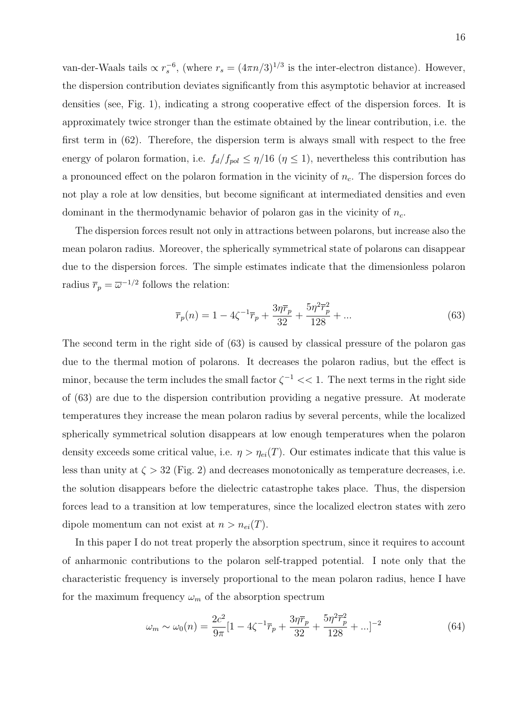van-der-Waals tails  $\propto r_s^{-6}$ , (where  $r_s = (4\pi n/3)^{1/3}$  is the inter-electron distance). However, the dispersion contribution deviates significantly from this asymptotic behavior at increased densities (see, Fig. 1), indicating a strong cooperative effect of the dispersion forces. It is approximately twice stronger than the estimate obtained by the linear contribution, i.e. the first term in (62). Therefore, the dispersion term is always small with respect to the free energy of polaron formation, i.e.  $f_d/f_{pol} \leq \eta/16$  ( $\eta \leq 1$ ), nevertheless this contribution has a pronounced effect on the polaron formation in the vicinity of  $n_c$ . The dispersion forces do not play a role at low densities, but become significant at intermediated densities and even dominant in the thermodynamic behavior of polaron gas in the vicinity of  $n_c$ .

The dispersion forces result not only in attractions between polarons, but increase also the mean polaron radius. Moreover, the spherically symmetrical state of polarons can disappear due to the dispersion forces. The simple estimates indicate that the dimensionless polaron radius  $\overline{r}_p = \overline{\omega}^{-1/2}$  follows the relation:

$$
\overline{r}_p(n) = 1 - 4\zeta^{-1}\overline{r}_p + \frac{3\eta \overline{r}_p}{32} + \frac{5\eta^2 \overline{r}_p^2}{128} + \dots
$$
\n(63)

The second term in the right side of (63) is caused by classical pressure of the polaron gas due to the thermal motion of polarons. It decreases the polaron radius, but the effect is minor, because the term includes the small factor  $\zeta^{-1} << 1$ . The next terms in the right side of (63) are due to the dispersion contribution providing a negative pressure. At moderate temperatures they increase the mean polaron radius by several percents, while the localized spherically symmetrical solution disappears at low enough temperatures when the polaron density exceeds some critical value, i.e.  $\eta > \eta_{ei}(T)$ . Our estimates indicate that this value is less than unity at  $\zeta > 32$  (Fig. 2) and decreases monotonically as temperature decreases, i.e. the solution disappears before the dielectric catastrophe takes place. Thus, the dispersion forces lead to a transition at low temperatures, since the localized electron states with zero dipole momentum can not exist at  $n > n_{ei}(T)$ .

In this paper I do not treat properly the absorption spectrum, since it requires to account of anharmonic contributions to the polaron self-trapped potential. I note only that the characteristic frequency is inversely proportional to the mean polaron radius, hence I have for the maximum frequency  $\omega_m$  of the absorption spectrum

$$
\omega_m \sim \omega_0(n) = \frac{2c^2}{9\pi} [1 - 4\zeta^{-1} \overline{r}_p + \frac{3\eta \overline{r}_p}{32} + \frac{5\eta^2 \overline{r}_p^2}{128} + \ldots]^{-2}
$$
(64)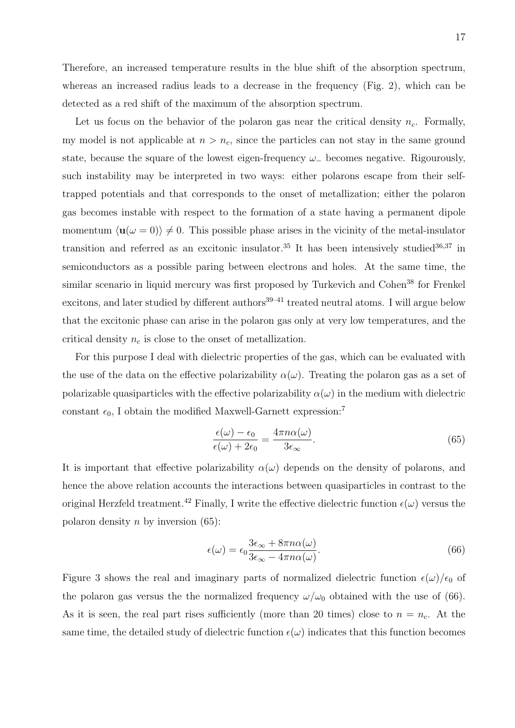Therefore, an increased temperature results in the blue shift of the absorption spectrum, whereas an increased radius leads to a decrease in the frequency (Fig. 2), which can be detected as a red shift of the maximum of the absorption spectrum.

Let us focus on the behavior of the polaron gas near the critical density  $n_c$ . Formally, my model is not applicable at  $n > n_c$ , since the particles can not stay in the same ground state, because the square of the lowest eigen-frequency  $\omega_{-}$  becomes negative. Rigourously, such instability may be interpreted in two ways: either polarons escape from their selftrapped potentials and that corresponds to the onset of metallization; either the polaron gas becomes instable with respect to the formation of a state having a permanent dipole momentum  $\langle \mathbf{u}(\omega = 0)\rangle \neq 0$ . This possible phase arises in the vicinity of the metal-insulator transition and referred as an excitonic insulator.<sup>35</sup> It has been intensively studied<sup>36,37</sup> in semiconductors as a possible paring between electrons and holes. At the same time, the similar scenario in liquid mercury was first proposed by Turkevich and Cohen<sup>38</sup> for Frenkel excitons, and later studied by different authors<sup>39–41</sup> treated neutral atoms. I will argue below that the excitonic phase can arise in the polaron gas only at very low temperatures, and the critical density  $n_c$  is close to the onset of metallization.

For this purpose I deal with dielectric properties of the gas, which can be evaluated with the use of the data on the effective polarizability  $\alpha(\omega)$ . Treating the polaron gas as a set of polarizable quasiparticles with the effective polarizability  $\alpha(\omega)$  in the medium with dielectric constant  $\epsilon_0$ , I obtain the modified Maxwell-Garnett expression:<sup>7</sup>

$$
\frac{\epsilon(\omega) - \epsilon_0}{\epsilon(\omega) + 2\epsilon_0} = \frac{4\pi n\alpha(\omega)}{3\epsilon_{\infty}}.\tag{65}
$$

It is important that effective polarizability  $\alpha(\omega)$  depends on the density of polarons, and hence the above relation accounts the interactions between quasiparticles in contrast to the original Herzfeld treatment.<sup>42</sup> Finally, I write the effective dielectric function  $\epsilon(\omega)$  versus the polaron density n by inversion  $(65)$ :

$$
\epsilon(\omega) = \epsilon_0 \frac{3\epsilon_\infty + 8\pi n\alpha(\omega)}{3\epsilon_\infty - 4\pi n\alpha(\omega)}.
$$
\n(66)

Figure 3 shows the real and imaginary parts of normalized dielectric function  $\epsilon(\omega)/\epsilon_0$  of the polaron gas versus the the normalized frequency  $\omega/\omega_0$  obtained with the use of (66). As it is seen, the real part rises sufficiently (more than 20 times) close to  $n = n_c$ . At the same time, the detailed study of dielectric function  $\epsilon(\omega)$  indicates that this function becomes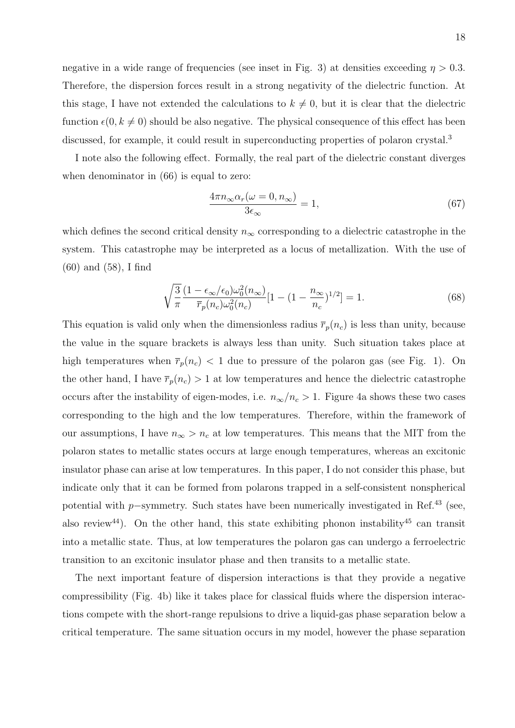negative in a wide range of frequencies (see inset in Fig. 3) at densities exceeding  $\eta > 0.3$ . Therefore, the dispersion forces result in a strong negativity of the dielectric function. At this stage, I have not extended the calculations to  $k \neq 0$ , but it is clear that the dielectric function  $\epsilon(0, k \neq 0)$  should be also negative. The physical consequence of this effect has been discussed, for example, it could result in superconducting properties of polaron crystal.<sup>3</sup>

I note also the following effect. Formally, the real part of the dielectric constant diverges when denominator in  $(66)$  is equal to zero:

$$
\frac{4\pi n_{\infty}\alpha_r(\omega=0, n_{\infty})}{3\epsilon_{\infty}} = 1,
$$
\n(67)

which defines the second critical density  $n_{\infty}$  corresponding to a dielectric catastrophe in the system. This catastrophe may be interpreted as a locus of metallization. With the use of (60) and (58), I find

$$
\sqrt{\frac{3}{\pi}} \frac{(1 - \epsilon_{\infty}/\epsilon_0)\omega_0^2(n_{\infty})}{\overline{r}_p(n_c)\omega_0^2(n_c)} [1 - (1 - \frac{n_{\infty}}{n_c})^{1/2}] = 1.
$$
\n(68)

This equation is valid only when the dimensionless radius  $\overline{r}_p(n_c)$  is less than unity, because the value in the square brackets is always less than unity. Such situation takes place at high temperatures when  $\bar{r}_p(n_c) < 1$  due to pressure of the polaron gas (see Fig. 1). On the other hand, I have  $\overline{r}_p(n_c) > 1$  at low temperatures and hence the dielectric catastrophe occurs after the instability of eigen-modes, i.e.  $n_{\infty}/n_c > 1$ . Figure 4a shows these two cases corresponding to the high and the low temperatures. Therefore, within the framework of our assumptions, I have  $n_{\infty} > n_c$  at low temperatures. This means that the MIT from the polaron states to metallic states occurs at large enough temperatures, whereas an excitonic insulator phase can arise at low temperatures. In this paper, I do not consider this phase, but indicate only that it can be formed from polarons trapped in a self-consistent nonspherical potential with p-symmetry. Such states have been numerically investigated in Ref.<sup>43</sup> (see, also review<sup>44</sup>). On the other hand, this state exhibiting phonon instability<sup>45</sup> can transit into a metallic state. Thus, at low temperatures the polaron gas can undergo a ferroelectric transition to an excitonic insulator phase and then transits to a metallic state.

The next important feature of dispersion interactions is that they provide a negative compressibility (Fig. 4b) like it takes place for classical fluids where the dispersion interactions compete with the short-range repulsions to drive a liquid-gas phase separation below a critical temperature. The same situation occurs in my model, however the phase separation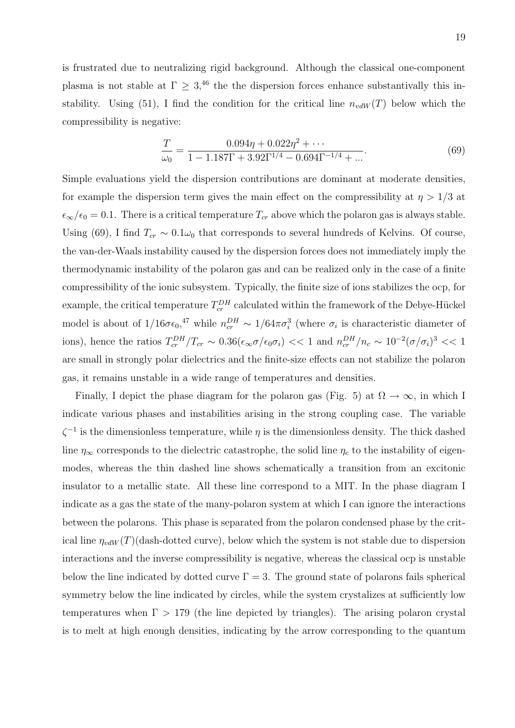is frustrated due to neutralizing rigid background. Although the classical one-component plasma is not stable at  $\Gamma \geq 3$ ,<sup>46</sup> the the dispersion forces enhance substantivally this instability. Using (51), I find the condition for the critical line  $n_{vdW}(T)$  below which the compressibility is negative:

$$
\frac{T}{\omega_0} = \frac{0.094\eta + 0.022\eta^2 + \cdots}{1 - 1.187\Gamma + 3.92\Gamma^{1/4} - 0.694\Gamma^{-1/4} + \cdots}.
$$
\n(69)

Simple evaluations yield the dispersion contributions are dominant at moderate densities, for example the dispersion term gives the main effect on the compressibility at  $\eta > 1/3$  at  $\epsilon_{\infty}/\epsilon_0 = 0.1$ . There is a critical temperature  $T_{cr}$  above which the polaron gas is always stable. Using (69), I find  $T_{cr} \sim 0.1\omega_0$  that corresponds to several hundreds of Kelvins. Of course, the van-der-Waals instability caused by the dispersion forces does not immediately imply the thermodynamic instability of the polaron gas and can be realized only in the case of a finite compressibility of the ionic subsystem. Typically, the finite size of ions stabilizes the ocp, for example, the critical temperature  $T_{cr}^{DH}$  calculated within the framework of the Debye-Hückel model is about of  $1/16\sigma\epsilon_0$ ,<sup>47</sup> while  $n_{cr}^{DH} \sim 1/64\pi\sigma_i^3$  (where  $\sigma_i$  is characteristic diameter of ions), hence the ratios  $T_{cr}^{DH}/T_{cr} \sim 0.36(\epsilon_{\infty}\sigma/\epsilon_0\sigma_i)<<1$  and  $n_{cr}^{DH}/n_c \sim 10^{-2}(\sigma/\sigma_i)^3 << 1$ are small in strongly polar dielectrics and the finite-size effects can not stabilize the polaron gas, it remains unstable in a wide range of temperatures and densities.

Finally, I depict the phase diagram for the polaron gas (Fig. 5) at  $\Omega \to \infty$ , in which I indicate various phases and instabilities arising in the strong coupling case. The variable  $\zeta^{-1}$  is the dimensionless temperature, while  $\eta$  is the dimensionless density. The thick dashed line  $\eta_{\infty}$  corresponds to the dielectric catastrophe, the solid line  $\eta_c$  to the instability of eigenmodes, whereas the thin dashed line shows schematically a transition from an excitonic insulator to a metallic state. All these line correspond to a MIT. In the phase diagram I indicate as a gas the state of the many-polaron system at which I can ignore the interactions between the polarons. This phase is separated from the polaron condensed phase by the critical line  $\eta_{vdW}(T)$ (dash-dotted curve), below which the system is not stable due to dispersion interactions and the inverse compressibility is negative, whereas the classical ocp is unstable below the line indicated by dotted curve  $\Gamma = 3$ . The ground state of polarons fails spherical symmetry below the line indicated by circles, while the system crystalizes at sufficiently low temperatures when  $\Gamma > 179$  (the line depicted by triangles). The arising polaron crystal is to melt at high enough densities, indicating by the arrow corresponding to the quantum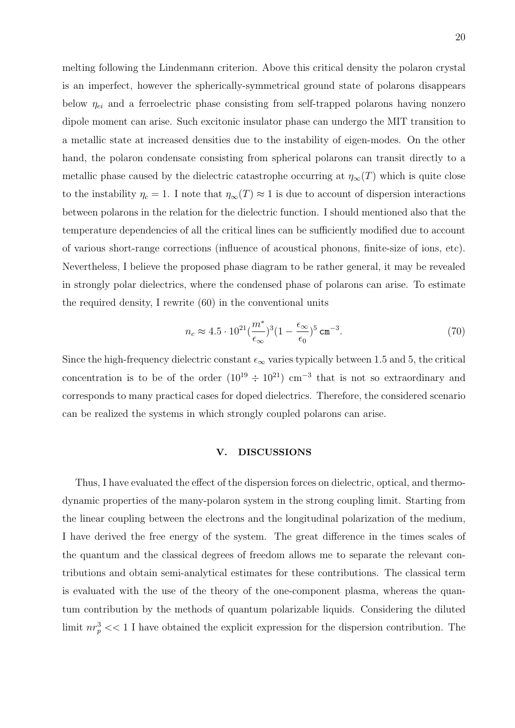melting following the Lindenmann criterion. Above this critical density the polaron crystal is an imperfect, however the spherically-symmetrical ground state of polarons disappears below  $\eta_{ei}$  and a ferroelectric phase consisting from self-trapped polarons having nonzero dipole moment can arise. Such excitonic insulator phase can undergo the MIT transition to a metallic state at increased densities due to the instability of eigen-modes. On the other hand, the polaron condensate consisting from spherical polarons can transit directly to a metallic phase caused by the dielectric catastrophe occurring at  $\eta_{\infty}(T)$  which is quite close to the instability  $\eta_c = 1$ . I note that  $\eta_\infty(T) \approx 1$  is due to account of dispersion interactions between polarons in the relation for the dielectric function. I should mentioned also that the temperature dependencies of all the critical lines can be sufficiently modified due to account of various short-range corrections (influence of acoustical phonons, finite-size of ions, etc). Nevertheless, I believe the proposed phase diagram to be rather general, it may be revealed in strongly polar dielectrics, where the condensed phase of polarons can arise. To estimate the required density, I rewrite (60) in the conventional units

$$
n_c \approx 4.5 \cdot 10^{21} \left(\frac{m^*}{\epsilon_\infty}\right)^3 \left(1 - \frac{\epsilon_\infty}{\epsilon_0}\right)^5 \text{ cm}^{-3}.
$$

Since the high-frequency dielectric constant  $\epsilon_{\infty}$  varies typically between 1.5 and 5, the critical concentration is to be of the order  $(10^{19} \div 10^{21})$  cm<sup>-3</sup> that is not so extraordinary and corresponds to many practical cases for doped dielectrics. Therefore, the considered scenario can be realized the systems in which strongly coupled polarons can arise.

# V. DISCUSSIONS

Thus, I have evaluated the effect of the dispersion forces on dielectric, optical, and thermodynamic properties of the many-polaron system in the strong coupling limit. Starting from the linear coupling between the electrons and the longitudinal polarization of the medium, I have derived the free energy of the system. The great difference in the times scales of the quantum and the classical degrees of freedom allows me to separate the relevant contributions and obtain semi-analytical estimates for these contributions. The classical term is evaluated with the use of the theory of the one-component plasma, whereas the quantum contribution by the methods of quantum polarizable liquids. Considering the diluted limit  $nr_p^3 \ll 1$  I have obtained the explicit expression for the dispersion contribution. The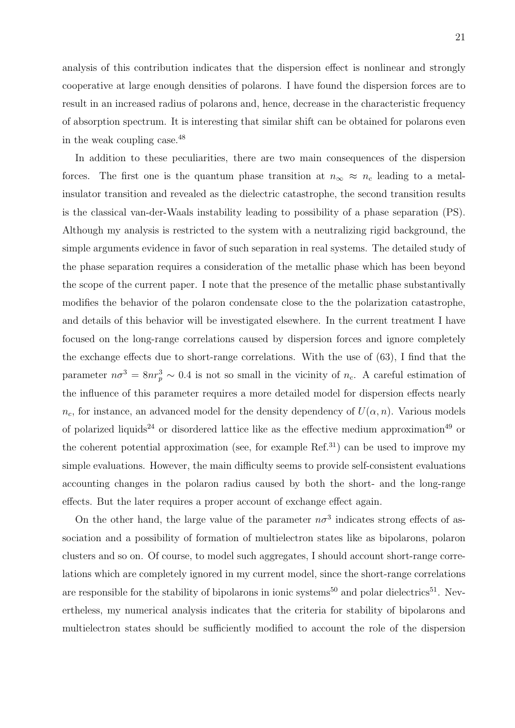analysis of this contribution indicates that the dispersion effect is nonlinear and strongly cooperative at large enough densities of polarons. I have found the dispersion forces are to result in an increased radius of polarons and, hence, decrease in the characteristic frequency of absorption spectrum. It is interesting that similar shift can be obtained for polarons even in the weak coupling case.<sup>48</sup>

In addition to these peculiarities, there are two main consequences of the dispersion forces. The first one is the quantum phase transition at  $n_{\infty} \approx n_c$  leading to a metalinsulator transition and revealed as the dielectric catastrophe, the second transition results is the classical van-der-Waals instability leading to possibility of a phase separation (PS). Although my analysis is restricted to the system with a neutralizing rigid background, the simple arguments evidence in favor of such separation in real systems. The detailed study of the phase separation requires a consideration of the metallic phase which has been beyond the scope of the current paper. I note that the presence of the metallic phase substantivally modifies the behavior of the polaron condensate close to the the polarization catastrophe, and details of this behavior will be investigated elsewhere. In the current treatment I have focused on the long-range correlations caused by dispersion forces and ignore completely the exchange effects due to short-range correlations. With the use of (63), I find that the parameter  $n\sigma^3 = 8nr_p^3 \sim 0.4$  is not so small in the vicinity of  $n_c$ . A careful estimation of the influence of this parameter requires a more detailed model for dispersion effects nearly  $n_c$ , for instance, an advanced model for the density dependency of  $U(\alpha, n)$ . Various models of polarized liquids<sup>24</sup> or disordered lattice like as the effective medium approximation<sup>49</sup> or the coherent potential approximation (see, for example  $Ref<sup>31</sup>$ ) can be used to improve my simple evaluations. However, the main difficulty seems to provide self-consistent evaluations accounting changes in the polaron radius caused by both the short- and the long-range effects. But the later requires a proper account of exchange effect again.

On the other hand, the large value of the parameter  $n\sigma^3$  indicates strong effects of association and a possibility of formation of multielectron states like as bipolarons, polaron clusters and so on. Of course, to model such aggregates, I should account short-range correlations which are completely ignored in my current model, since the short-range correlations are responsible for the stability of bipolarons in ionic systems<sup>50</sup> and polar dielectrics<sup>51</sup>. Nevertheless, my numerical analysis indicates that the criteria for stability of bipolarons and multielectron states should be sufficiently modified to account the role of the dispersion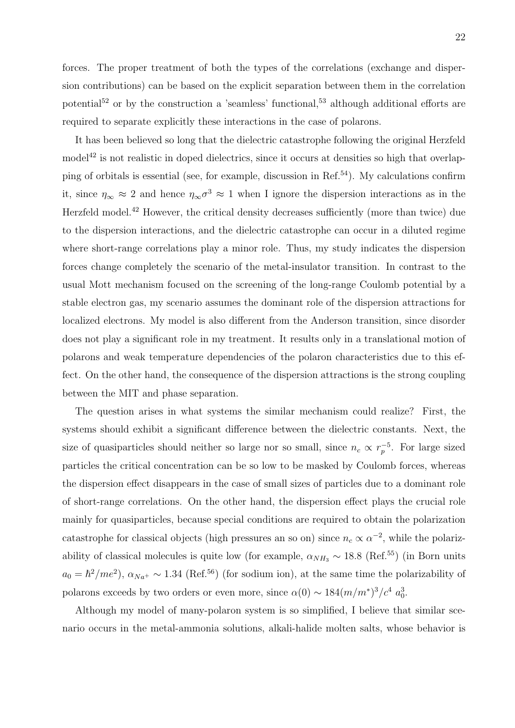forces. The proper treatment of both the types of the correlations (exchange and dispersion contributions) can be based on the explicit separation between them in the correlation potential<sup>52</sup> or by the construction a 'seamless' functional,<sup>53</sup> although additional efforts are required to separate explicitly these interactions in the case of polarons.

It has been believed so long that the dielectric catastrophe following the original Herzfeld model<sup>42</sup> is not realistic in doped dielectrics, since it occurs at densities so high that overlapping of orbitals is essential (see, for example, discussion in Ref.<sup>54</sup>). My calculations confirm it, since  $\eta_{\infty} \approx 2$  and hence  $\eta_{\infty} \sigma^3 \approx 1$  when I ignore the dispersion interactions as in the Herzfeld model.<sup>42</sup> However, the critical density decreases sufficiently (more than twice) due to the dispersion interactions, and the dielectric catastrophe can occur in a diluted regime where short-range correlations play a minor role. Thus, my study indicates the dispersion forces change completely the scenario of the metal-insulator transition. In contrast to the usual Mott mechanism focused on the screening of the long-range Coulomb potential by a stable electron gas, my scenario assumes the dominant role of the dispersion attractions for localized electrons. My model is also different from the Anderson transition, since disorder does not play a significant role in my treatment. It results only in a translational motion of polarons and weak temperature dependencies of the polaron characteristics due to this effect. On the other hand, the consequence of the dispersion attractions is the strong coupling between the MIT and phase separation.

The question arises in what systems the similar mechanism could realize? First, the systems should exhibit a significant difference between the dielectric constants. Next, the size of quasiparticles should neither so large nor so small, since  $n_c \propto r_p^{-5}$ . For large sized particles the critical concentration can be so low to be masked by Coulomb forces, whereas the dispersion effect disappears in the case of small sizes of particles due to a dominant role of short-range correlations. On the other hand, the dispersion effect plays the crucial role mainly for quasiparticles, because special conditions are required to obtain the polarization catastrophe for classical objects (high pressures an so on) since  $n_c \propto \alpha^{-2}$ , while the polarizability of classical molecules is quite low (for example,  $\alpha_{NH_3} \sim 18.8$  (Ref.<sup>55</sup>) (in Born units  $a_0 = \hbar^2$ /me<sup>2</sup>),  $\alpha_{Na^+} \sim 1.34$  (Ref.<sup>56</sup>) (for sodium ion), at the same time the polarizability of polarons exceeds by two orders or even more, since  $\alpha(0) \sim 184(m/m^*)^3/c^4 a_0^3$ .

Although my model of many-polaron system is so simplified, I believe that similar scenario occurs in the metal-ammonia solutions, alkali-halide molten salts, whose behavior is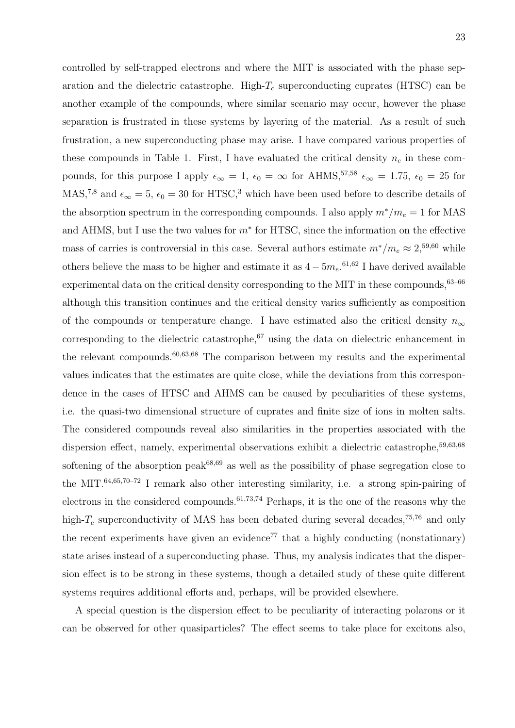controlled by self-trapped electrons and where the MIT is associated with the phase separation and the dielectric catastrophe. High- $T_c$  superconducting cuprates (HTSC) can be another example of the compounds, where similar scenario may occur, however the phase separation is frustrated in these systems by layering of the material. As a result of such frustration, a new superconducting phase may arise. I have compared various properties of these compounds in Table 1. First, I have evaluated the critical density  $n_c$  in these compounds, for this purpose I apply  $\epsilon_{\infty} = 1$ ,  $\epsilon_0 = \infty$  for AHMS,<sup>57,58</sup>  $\epsilon_{\infty} = 1.75$ ,  $\epsilon_0 = 25$  for MAS,<sup>7,8</sup> and  $\epsilon_{\infty} = 5$ ,  $\epsilon_0 = 30$  for HTSC,<sup>3</sup> which have been used before to describe details of the absorption spectrum in the corresponding compounds. I also apply  $m^*/m_e = 1$  for MAS and AHMS, but I use the two values for  $m^*$  for HTSC, since the information on the effective mass of carries is controversial in this case. Several authors estimate  $m^*/m_e \approx 2,59,60$  while others believe the mass to be higher and estimate it as  $4 - 5m_e$ .<sup>61,62</sup> I have derived available</sup> experimental data on the critical density corresponding to the MIT in these compounds,  $63-66$ although this transition continues and the critical density varies sufficiently as composition of the compounds or temperature change. I have estimated also the critical density  $n_{\infty}$ corresponding to the dielectric catastrophe, $67$  using the data on dielectric enhancement in the relevant compounds.<sup>60,63,68</sup> The comparison between my results and the experimental values indicates that the estimates are quite close, while the deviations from this correspondence in the cases of HTSC and AHMS can be caused by peculiarities of these systems, i.e. the quasi-two dimensional structure of cuprates and finite size of ions in molten salts. The considered compounds reveal also similarities in the properties associated with the dispersion effect, namely, experimental observations exhibit a dielectric catastrophe,<sup>59,63,68</sup> softening of the absorption peak $68,69$  as well as the possibility of phase segregation close to the MIT.64,65,70–72 I remark also other interesting similarity, i.e. a strong spin-pairing of electrons in the considered compounds.61,73,74 Perhaps, it is the one of the reasons why the high- $T_c$  superconductivity of MAS has been debated during several decades,<sup>75,76</sup> and only the recent experiments have given an evidence<sup>77</sup> that a highly conducting (nonstationary) state arises instead of a superconducting phase. Thus, my analysis indicates that the dispersion effect is to be strong in these systems, though a detailed study of these quite different systems requires additional efforts and, perhaps, will be provided elsewhere.

A special question is the dispersion effect to be peculiarity of interacting polarons or it can be observed for other quasiparticles? The effect seems to take place for excitons also,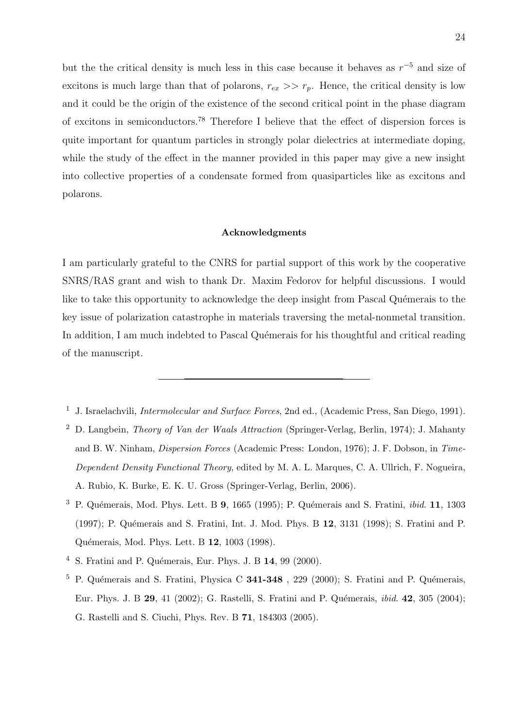but the the critical density is much less in this case because it behaves as  $r^{-5}$  and size of excitons is much large than that of polarons,  $r_{ex} \gg r_p$ . Hence, the critical density is low and it could be the origin of the existence of the second critical point in the phase diagram of excitons in semiconductors.<sup>78</sup> Therefore I believe that the effect of dispersion forces is quite important for quantum particles in strongly polar dielectrics at intermediate doping, while the study of the effect in the manner provided in this paper may give a new insight into collective properties of a condensate formed from quasiparticles like as excitons and polarons.

#### Acknowledgments

I am particularly grateful to the CNRS for partial support of this work by the cooperative SNRS/RAS grant and wish to thank Dr. Maxim Fedorov for helpful discussions. I would like to take this opportunity to acknowledge the deep insight from Pascal Quémerais to the key issue of polarization catastrophe in materials traversing the metal-nonmetal transition. In addition, I am much indebted to Pascal Quémerais for his thoughtful and critical reading of the manuscript.

 $^1\,$  J. Israelachvili, Intermolecular and Surface Forces, 2nd ed., (Academic Press, San Diego, 1991).

<sup>&</sup>lt;sup>2</sup> D. Langbein, *Theory of Van der Waals Attraction* (Springer-Verlag, Berlin, 1974); J. Mahanty and B. W. Ninham, Dispersion Forces (Academic Press: London, 1976); J. F. Dobson, in Time-Dependent Density Functional Theory, edited by M. A. L. Marques, C. A. Ullrich, F. Nogueira, A. Rubio, K. Burke, E. K. U. Gross (Springer-Verlag, Berlin, 2006).

 $3$  P. Quémerais, Mod. Phys. Lett. B 9, 1665 (1995); P. Quémerais and S. Fratini, *ibid.* 11, 1303 (1997); P. Quémerais and S. Fratini, Int. J. Mod. Phys. B 12, 3131 (1998); S. Fratini and P. Quémerais, Mod. Phys. Lett. B 12, 1003 (1998).

 $4\,$  S. Fratini and P. Quémerais, Eur. Phys. J. B 14, 99 (2000).

<sup>&</sup>lt;sup>5</sup> P. Quémerais and S. Fratini, Physica C **341-348**, 229 (2000); S. Fratini and P. Quémerais, Eur. Phys. J. B 29, 41 (2002); G. Rastelli, S. Fratini and P. Quémerais, *ibid.* 42, 305 (2004); G. Rastelli and S. Ciuchi, Phys. Rev. B 71, 184303 (2005).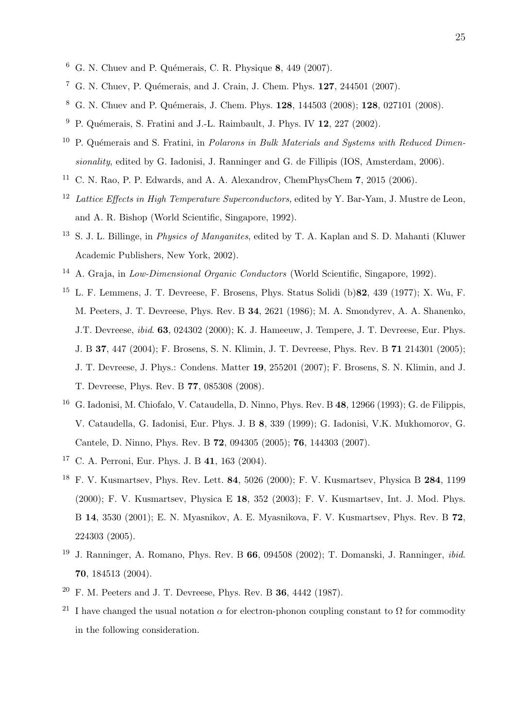- $6$  G. N. Chuev and P. Quémerais, C. R. Physique 8, 449 (2007).
- <sup>7</sup> G. N. Chuev, P. Quémerais, and J. Crain, J. Chem. Phys.  $127, 244501$  (2007).
- <sup>8</sup> G. N. Chuev and P. Quémerais, J. Chem. Phys. **128**, 144503 (2008); **128**, 027101 (2008).
- $9$  P. Quémerais, S. Fratini and J.-L. Raimbault, J. Phys. IV 12, 227 (2002).
- <sup>10</sup> P. Quémerais and S. Fratini, in *Polarons in Bulk Materials and Systems with Reduced Dimen*sionality, edited by G. Iadonisi, J. Ranninger and G. de Fillipis (IOS, Amsterdam, 2006).
- <sup>11</sup> C. N. Rao, P. P. Edwards, and A. A. Alexandrov, ChemPhysChem  $7, 2015$  (2006).
- <sup>12</sup> Lattice Effects in High Temperature Superconductors, edited by Y. Bar-Yam, J. Mustre de Leon, and A. R. Bishop (World Scientific, Singapore, 1992).
- <sup>13</sup> S. J. L. Billinge, in *Physics of Manganites*, edited by T. A. Kaplan and S. D. Mahanti (Kluwer Academic Publishers, New York, 2002).
- <sup>14</sup> A. Graja, in *Low-Dimensional Organic Conductors* (World Scientific, Singapore, 1992).
- <sup>15</sup> L. F. Lemmens, J. T. Devreese, F. Brosens, Phys. Status Solidi (b)82, 439 (1977); X. Wu, F. M. Peeters, J. T. Devreese, Phys. Rev. B 34, 2621 (1986); M. A. Smondyrev, A. A. Shanenko, J.T. Devreese, *ibid.* 63, 024302 (2000); K. J. Hameeuw, J. Tempere, J. T. Devreese, Eur. Phys. J. B 37, 447 (2004); F. Brosens, S. N. Klimin, J. T. Devreese, Phys. Rev. B 71 214301 (2005); J. T. Devreese, J. Phys.: Condens. Matter 19, 255201 (2007); F. Brosens, S. N. Klimin, and J. T. Devreese, Phys. Rev. B 77, 085308 (2008).
- <sup>16</sup> G. Iadonisi, M. Chiofalo, V. Cataudella, D. Ninno, Phys. Rev. B 48, 12966 (1993); G. de Filippis, V. Cataudella, G. Iadonisi, Eur. Phys. J. B 8, 339 (1999); G. Iadonisi, V.K. Mukhomorov, G. Cantele, D. Ninno, Phys. Rev. B 72, 094305 (2005); 76, 144303 (2007).
- <sup>17</sup> C. A. Perroni, Eur. Phys. J. B 41, 163 (2004).
- <sup>18</sup> F. V. Kusmartsev, Phys. Rev. Lett. 84, 5026 (2000); F. V. Kusmartsev, Physica B 284, 1199 (2000); F. V. Kusmartsev, Physica E 18, 352 (2003); F. V. Kusmartsev, Int. J. Mod. Phys. B 14, 3530 (2001); E. N. Myasnikov, A. E. Myasnikova, F. V. Kusmartsev, Phys. Rev. B 72, 224303 (2005).
- <sup>19</sup> J. Ranninger, A. Romano, Phys. Rev. B  $66$ , 094508 (2002); T. Domanski, J. Ranninger, *ibid.* 70, 184513 (2004).
- $20$  F. M. Peeters and J. T. Devreese, Phys. Rev. B 36, 4442 (1987).
- <sup>21</sup> I have changed the usual notation  $\alpha$  for electron-phonon coupling constant to  $\Omega$  for commodity in the following consideration.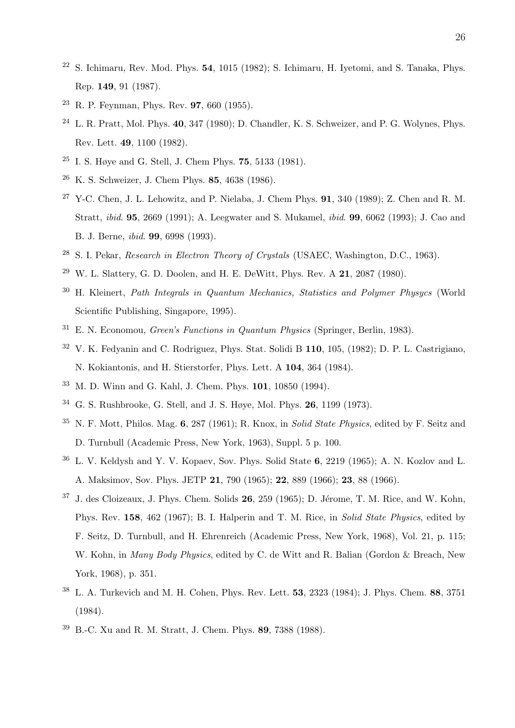- <sup>22</sup> S. Ichimaru, Rev. Mod. Phys. **54**, 1015 (1982); S. Ichimaru, H. Ivetomi, and S. Tanaka, Phys. Rep. 149, 91 (1987).
- <sup>23</sup> R. P. Feynman, Phys. Rev.  $97,660$  (1955).
- $24$  L. R. Pratt, Mol. Phys. 40, 347 (1980); D. Chandler, K. S. Schweizer, and P. G. Wolynes, Phys. Rev. Lett. 49, 1100 (1982).
- <sup>25</sup> I. S. Høye and G. Stell, J. Chem Phys. 75, 5133 (1981).
- <sup>26</sup> K. S. Schweizer, J. Chem Phys. 85, 4638 (1986).
- <sup>27</sup> Y-C. Chen, J. L. Lehowitz, and P. Nielaba, J. Chem Phys. **91**, 340 (1989); Z. Chen and R. M. Stratt, ibid. 95, 2669 (1991); A. Leegwater and S. Mukamel, ibid. 99, 6062 (1993); J. Cao and B. J. Berne, ibid. 99, 6998 (1993).
- <sup>28</sup> S. I. Pekar, *Research in Electron Theory of Crystals* (USAEC, Washington, D.C., 1963).
- <sup>29</sup> W. L. Slattery, G. D. Doolen, and H. E. DeWitt, Phys. Rev. A **21**, 2087 (1980).
- <sup>30</sup> H. Kleinert, Path Integrals in Quantum Mechanics, Statistics and Polymer Physycs (World Scientific Publishing, Singapore, 1995).
- $31$  E. N. Economou, *Green's Functions in Quantum Physics* (Springer, Berlin, 1983).
- <sup>32</sup> V. K. Fedyanin and C. Rodriguez, Phys. Stat. Solidi B 110, 105, (1982); D. P. L. Castrigiano, N. Kokiantonis, and H. Stierstorfer, Phys. Lett. A 104, 364 (1984).
- <sup>33</sup> M. D. Winn and G. Kahl, J. Chem. Phys. 101, 10850 (1994).
- <sup>34</sup> G. S. Rushbrooke, G. Stell, and J. S. Høye, Mol. Phys. 26, 1199 (1973).
- $35$  N. F. Mott, Philos. Mag. 6, 287 (1961); R. Knox, in Solid State Physics, edited by F. Seitz and D. Turnbull (Academic Press, New York, 1963), Suppl. 5 p. 100.
- <sup>36</sup> L. V. Keldysh and Y. V. Kopaev, Sov. Phys. Solid State 6, 2219 (1965); A. N. Kozlov and L. A. Maksimov, Sov. Phys. JETP 21, 790 (1965); 22, 889 (1966); 23, 88 (1966).
- $37$  J. des Cloizeaux, J. Phys. Chem. Solids  $26$ ,  $259$  (1965); D. Jérome, T. M. Rice, and W. Kohn, Phys. Rev. 158, 462 (1967); B. I. Halperin and T. M. Rice, in Solid State Physics, edited by F. Seitz, D. Turnbull, and H. Ehrenreich (Academic Press, New York, 1968), Vol. 21, p. 115; W. Kohn, in Many Body Physics, edited by C. de Witt and R. Balian (Gordon & Breach, New York, 1968), p. 351.
- <sup>38</sup> L. A. Turkevich and M. H. Cohen, Phys. Rev. Lett. 53, 2323 (1984); J. Phys. Chem. 88, 3751 (1984).
- <sup>39</sup> B.-C. Xu and R. M. Stratt, J. Chem. Phys. 89, 7388 (1988).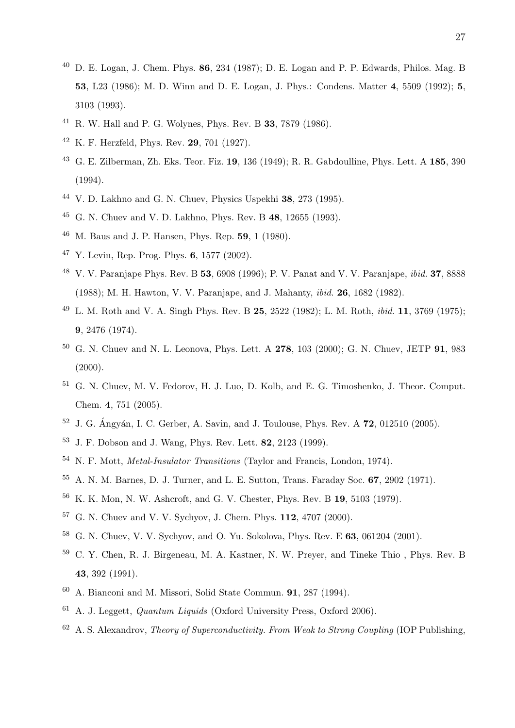- $^{40}$  D. E. Logan, J. Chem. Phys. 86, 234 (1987); D. E. Logan and P. P. Edwards, Philos. Mag. B , L23 (1986); M. D. Winn and D. E. Logan, J. Phys.: Condens. Matter 4, 5509 (1992); 5, 3103 (1993).
- R. W. Hall and P. G. Wolynes, Phys. Rev. B 33, 7879 (1986).
- K. F. Herzfeld, Phys. Rev. 29, 701 (1927).
- G. E. Zilberman, Zh. Eks. Teor. Fiz. 19, 136 (1949); R. R. Gabdoulline, Phys. Lett. A 185, 390 (1994).
- V. D. Lakhno and G. N. Chuev, Physics Uspekhi 38, 273 (1995).
- G. N. Chuev and V. D. Lakhno, Phys. Rev. B 48, 12655 (1993).
- M. Baus and J. P. Hansen, Phys. Rep. 59, 1 (1980).
- Y. Levin, Rep. Prog. Phys. 6, 1577 (2002).
- V. V. Paranjape Phys. Rev. B 53, 6908 (1996); P. V. Panat and V. V. Paranjape, ibid. 37, 8888 (1988); M. H. Hawton, V. V. Paranjape, and J. Mahanty, ibid. 26, 1682 (1982).
- L. M. Roth and V. A. Singh Phys. Rev. B 25, 2522 (1982); L. M. Roth, ibid. 11, 3769 (1975); , 2476 (1974).
- <sup>50</sup> G. N. Chuev and N. L. Leonova, Phys. Lett. A **278**, 103 (2000); G. N. Chuev, JETP **91**, 983  $(2000).$
- G. N. Chuev, M. V. Fedorov, H. J. Luo, D. Kolb, and E. G. Timoshenko, J. Theor. Comput. Chem. 4, 751 (2005).
- J. G. Ángván, I. C. Gerber, A. Savin, and J. Toulouse, Phys. Rev. A 72, 012510 (2005).
- J. F. Dobson and J. Wang, Phys. Rev. Lett. 82, 2123 (1999).
- N. F. Mott, Metal-Insulator Transitions (Taylor and Francis, London, 1974).
- A. N. M. Barnes, D. J. Turner, and L. E. Sutton, Trans. Faraday Soc. 67, 2902 (1971).
- K. K. Mon, N. W. Ashcroft, and G. V. Chester, Phys. Rev. B 19, 5103 (1979).
- G. N. Chuev and V. V. Sychyov, J. Chem. Phys. 112, 4707 (2000).
- G. N. Chuev, V. V. Sychyov, and O. Yu. Sokolova, Phys. Rev. E 63, 061204 (2001).
- C. Y. Chen, R. J. Birgeneau, M. A. Kastner, N. W. Preyer, and Tineke Thio , Phys. Rev. B , 392 (1991).
- A. Bianconi and M. Missori, Solid State Commun. 91, 287 (1994).
- A. J. Leggett, *Quantum Liquids* (Oxford University Press, Oxford 2006).
- A. S. Alexandrov, Theory of Superconductivity. From Weak to Strong Coupling (IOP Publishing,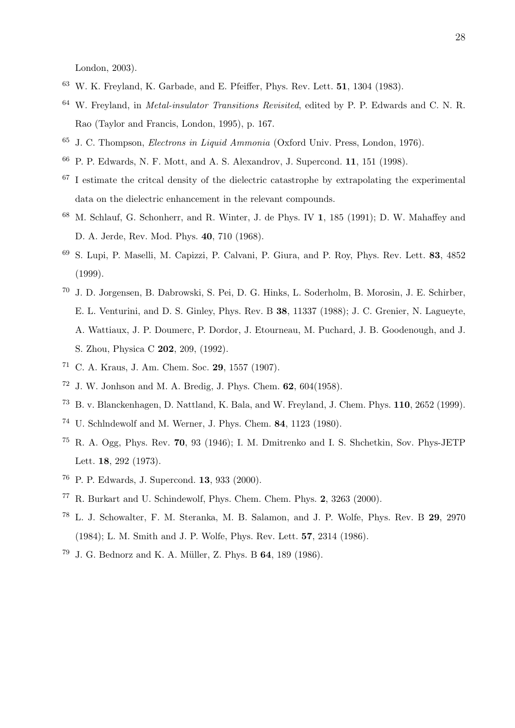London, 2003).

- W. K. Freyland, K. Garbade, and E. Pfeiffer, Phys. Rev. Lett. 51, 1304 (1983).
- W. Freyland, in Metal-insulator Transitions Revisited, edited by P. P. Edwards and C. N. R. Rao (Taylor and Francis, London, 1995), p. 167.
- J. C. Thompson, Electrons in Liquid Ammonia (Oxford Univ. Press, London, 1976).
- P. P. Edwards, N. F. Mott, and A. S. Alexandrov, J. Supercond. 11, 151 (1998).
- I estimate the critcal density of the dielectric catastrophe by extrapolating the experimental data on the dielectric enhancement in the relevant compounds.
- M. Schlauf, G. Schonherr, and R. Winter, J. de Phys. IV 1, 185 (1991); D. W. Mahaffey and D. A. Jerde, Rev. Mod. Phys. 40, 710 (1968).
- S. Lupi, P. Maselli, M. Capizzi, P. Calvani, P. Giura, and P. Roy, Phys. Rev. Lett. 83, 4852 (1999).
- J. D. Jorgensen, B. Dabrowski, S. Pei, D. G. Hinks, L. Soderholm, B. Morosin, J. E. Schirber, E. L. Venturini, and D. S. Ginley, Phys. Rev. B 38, 11337 (1988); J. C. Grenier, N. Lagueyte, A. Wattiaux, J. P. Doumerc, P. Dordor, J. Etourneau, M. Puchard, J. B. Goodenough, and J. S. Zhou, Physica C 202, 209, (1992).
- C. A. Kraus, J. Am. Chem. Soc. 29, 1557 (1907).
- J. W. Jonhson and M. A. Bredig, J. Phys. Chem. 62, 604(1958).
- B. v. Blanckenhagen, D. Nattland, K. Bala, and W. Freyland, J. Chem. Phys. 110, 2652 (1999).
- U. Schlndewolf and M. Werner, J. Phys. Chem. 84, 1123 (1980).
- $^{75}$  R. A. Ogg, Phys. Rev. 70, 93 (1946); I. M. Dmitrenko and I. S. Shchetkin, Sov. Phys-JETP Lett. 18, 292 (1973).
- P. P. Edwards, J. Supercond. 13, 933 (2000).
- R. Burkart and U. Schindewolf, Phys. Chem. Chem. Phys. 2, 3263 (2000).
- L. J. Schowalter, F. M. Steranka, M. B. Salamon, and J. P. Wolfe, Phys. Rev. B 29, 2970 (1984); L. M. Smith and J. P. Wolfe, Phys. Rev. Lett. 57, 2314 (1986).
- J. G. Bednorz and K. A. Müller, Z. Phys. B 64, 189 (1986).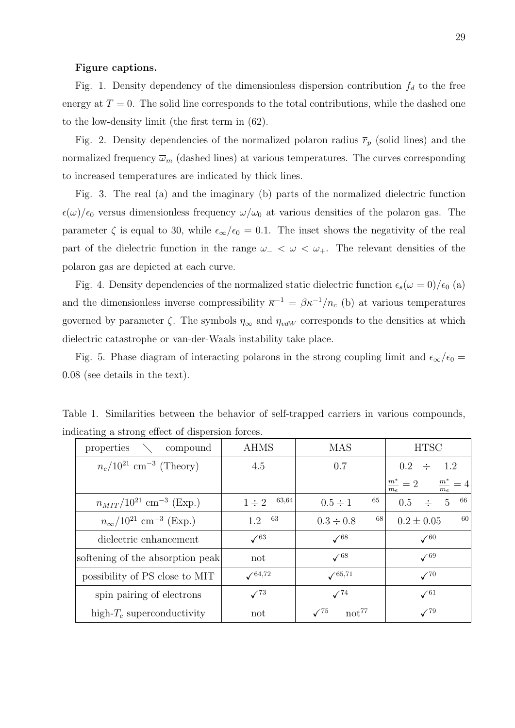#### Figure captions.

Fig. 1. Density dependency of the dimensionless dispersion contribution  $f_d$  to the free energy at  $T = 0$ . The solid line corresponds to the total contributions, while the dashed one to the low-density limit (the first term in (62).

Fig. 2. Density dependencies of the normalized polaron radius  $\overline{r}_p$  (solid lines) and the normalized frequency  $\bar{\omega}_m$  (dashed lines) at various temperatures. The curves corresponding to increased temperatures are indicated by thick lines.

Fig. 3. The real (a) and the imaginary (b) parts of the normalized dielectric function  $\epsilon(\omega)/\epsilon_0$  versus dimensionless frequency  $\omega/\omega_0$  at various densities of the polaron gas. The parameter  $\zeta$  is equal to 30, while  $\epsilon_{\infty}/\epsilon_0 = 0.1$ . The inset shows the negativity of the real part of the dielectric function in the range  $\omega$ <sub>-</sub>  $\lt \omega$   $\lt \omega$ <sub>+</sub>. The relevant densities of the polaron gas are depicted at each curve.

Fig. 4. Density dependencies of the normalized static dielectric function  $\epsilon_s(\omega = 0)/\epsilon_0$  (a) and the dimensionless inverse compressibility  $\bar{\kappa}^{-1} = \beta \kappa^{-1}/n_c$  (b) at various temperatures governed by parameter  $\zeta$ . The symbols  $\eta_{\infty}$  and  $\eta_{vdW}$  corresponds to the densities at which dielectric catastrophe or van-der-Waals instability take place.

Fig. 5. Phase diagram of interacting polarons in the strong coupling limit and  $\epsilon_{\infty}/\epsilon_0 =$ 0.08 (see details in the text).

| uncating a strong effect of uispersion forces. |                  |                                             |                                             |
|------------------------------------------------|------------------|---------------------------------------------|---------------------------------------------|
| properties $\setminus$ compound                | <b>AHMS</b>      | <b>MAS</b>                                  | <b>HTSC</b>                                 |
| $n_c/10^{21}$ cm <sup>-3</sup> (Theory)        | 4.5              | 0.7                                         | $0.2 \div 1.2$                              |
|                                                |                  |                                             | $\frac{m^*}{m_e} = 2$ $\frac{m^*}{m_e} = 4$ |
| $n_{MIT}/10^{21}$ cm <sup>-3</sup> (Exp.)      | $1 \div 2$ 63,64 | 65<br>$0.5 \div 1$                          | - 66<br>$0.5 \div 5$                        |
| $n_{\infty}/10^{21}$ cm <sup>-3</sup> (Exp.)   | $1.2^{63}$       | 68<br>$0.3 \div 0.8$                        | 60<br>$0.2 \pm 0.05$                        |
| dielectric enhancement                         | $\sqrt{63}$      | $\sqrt{68}$                                 | $\sqrt{60}$                                 |
| softening of the absorption peak               | not              | $\sqrt{68}$                                 | $\sqrt{69}$                                 |
| possibility of PS close to MIT                 | $\sqrt{64,72}$   | $\sqrt{65,71}$                              | $\sqrt{70}$                                 |
| spin pairing of electrons                      | $\sqrt{73}$      | $\sqrt{74}$                                 | $\sqrt{61}$                                 |
| high- $T_c$ superconductivity                  | not              | $\sqrt{75}$<br>$\mathrm{not}^{\mathrm{77}}$ | $\sqrt{79}$                                 |

Table 1. Similarities between the behavior of self-trapped carriers in various compounds, indicating a strong effect of dispersion forces.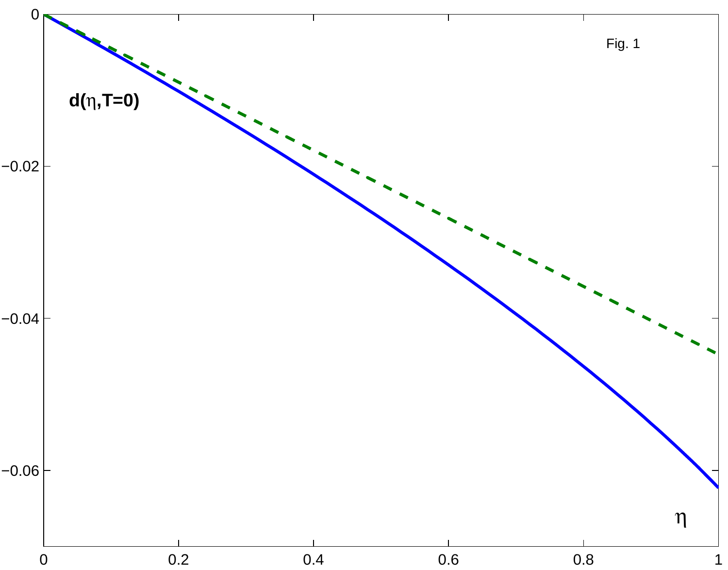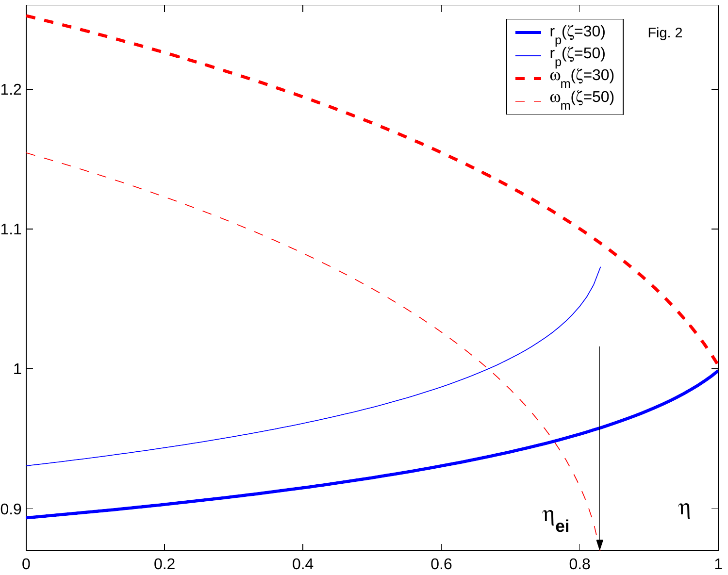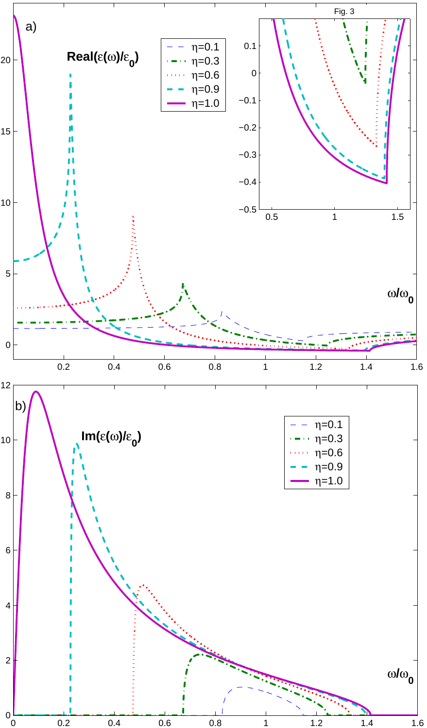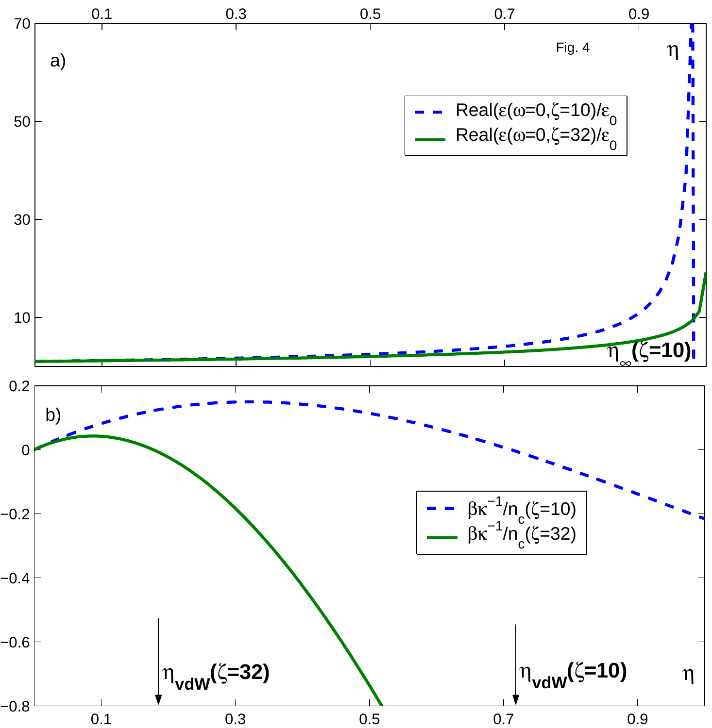